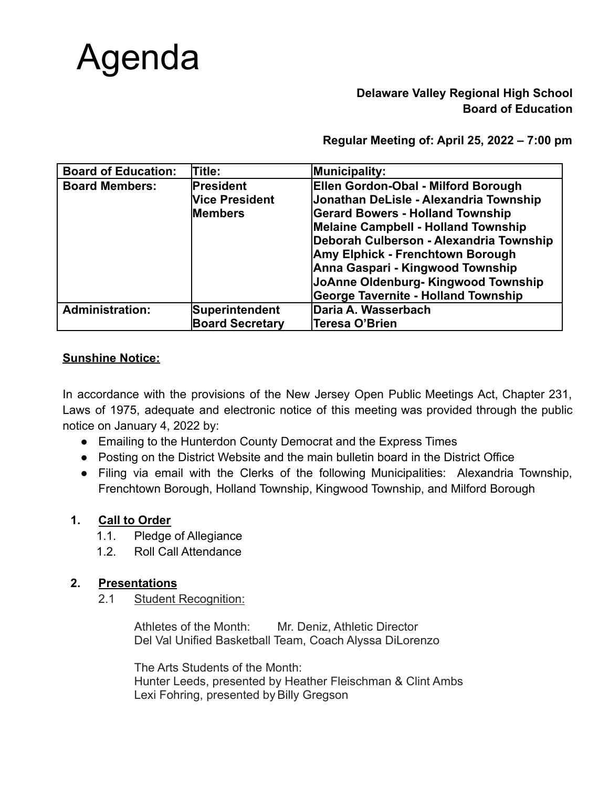# Agenda

# **Delaware Valley Regional High School Board of Education**

**Regular Meeting of: April 25, 2022 – 7:00 pm**

| <b>Board of Education:</b> | <b>Title:</b>          | Municipality:                              |
|----------------------------|------------------------|--------------------------------------------|
| <b>Board Members:</b>      | President              | Ellen Gordon-Obal - Milford Borough        |
|                            | <b>Vice President</b>  | Jonathan DeLisle - Alexandria Township     |
|                            | <b>Members</b>         | <b>Gerard Bowers - Holland Township</b>    |
|                            |                        | <b>Melaine Campbell - Holland Township</b> |
|                            |                        | Deborah Culberson - Alexandria Township    |
|                            |                        | Amy Elphick - Frenchtown Borough           |
|                            |                        | Anna Gaspari - Kingwood Township           |
|                            |                        | JoAnne Oldenburg- Kingwood Township        |
|                            |                        | <b>George Tavernite - Holland Township</b> |
| <b>Administration:</b>     | Superintendent         | Daria A. Wasserbach                        |
|                            | <b>Board Secretary</b> | Teresa O'Brien                             |

# **Sunshine Notice:**

In accordance with the provisions of the New Jersey Open Public Meetings Act, Chapter 231, Laws of 1975, adequate and electronic notice of this meeting was provided through the public notice on January 4, 2022 by:

- Emailing to the Hunterdon County Democrat and the Express Times
- Posting on the District Website and the main bulletin board in the District Office
- Filing via email with the Clerks of the following Municipalities: Alexandria Township, Frenchtown Borough, Holland Township, Kingwood Township, and Milford Borough

# **1. Call to Order**

- 1.1. Pledge of Allegiance
- 1.2. Roll Call Attendance

# **2. Presentations**

2.1 Student Recognition:

Athletes of the Month: Mr. Deniz, Athletic Director Del Val Unified Basketball Team, Coach Alyssa DiLorenzo

The Arts Students of the Month: Hunter Leeds, presented by Heather Fleischman & Clint Ambs Lexi Fohring, presented by Billy Gregson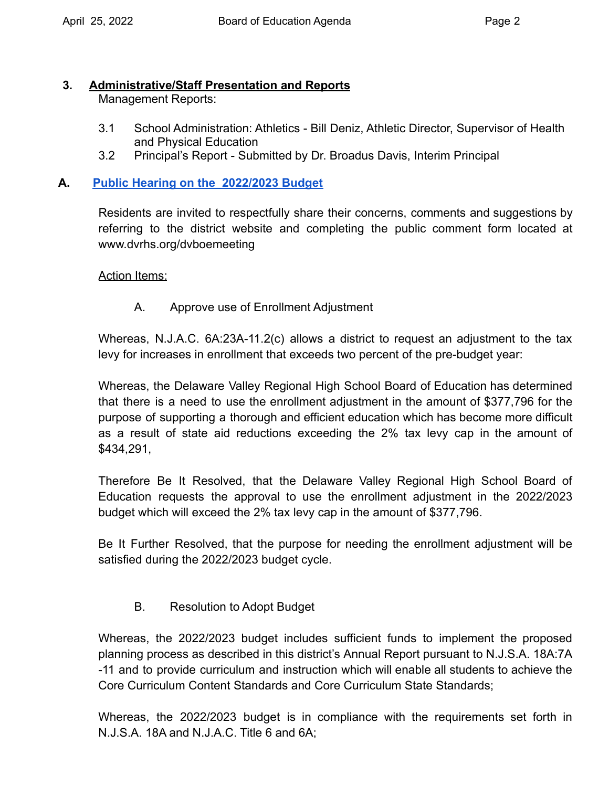# **3. Administrative/Staff Presentation and Reports**

Management Reports:

- 3.1 School Administration: Athletics Bill Deniz, Athletic Director, Supervisor of Health and Physical Education
- 3.2 Principal's Report Submitted by Dr. Broadus Davis, Interim Principal

# **A. [Public Hearing on the 2022/2023 Budget](https://drive.google.com/file/d/1wSrMcdIaIWFKC8bRkKUkKIos8LNaPo3n/view?usp=sharing)**

Residents are invited to respectfully share their concerns, comments and suggestions by referring to the district website and completing the public comment form located at <www.dvrhs.org/dvboemeeting>

# Action Items:

A. Approve use of Enrollment Adjustment

Whereas, N.J.A.C. 6A:23A-11.2(c) allows a district to request an adjustment to the tax levy for increases in enrollment that exceeds two percent of the pre-budget year:

Whereas, the Delaware Valley Regional High School Board of Education has determined that there is a need to use the enrollment adjustment in the amount of \$377,796 for the purpose of supporting a thorough and efficient education which has become more difficult as a result of state aid reductions exceeding the 2% tax levy cap in the amount of \$434,291,

Therefore Be It Resolved, that the Delaware Valley Regional High School Board of Education requests the approval to use the enrollment adjustment in the 2022/2023 budget which will exceed the 2% tax levy cap in the amount of \$377,796.

Be It Further Resolved, that the purpose for needing the enrollment adjustment will be satisfied during the 2022/2023 budget cycle.

# B. Resolution to Adopt Budget

Whereas, the 2022/2023 budget includes sufficient funds to implement the proposed planning process as described in this district's Annual Report pursuant to N.J.S.A. 18A:7A -11 and to provide curriculum and instruction which will enable all students to achieve the Core Curriculum Content Standards and Core Curriculum State Standards;

Whereas, the 2022/2023 budget is in compliance with the requirements set forth in N.J.S.A. 18A and N.J.A.C. Title 6 and 6A;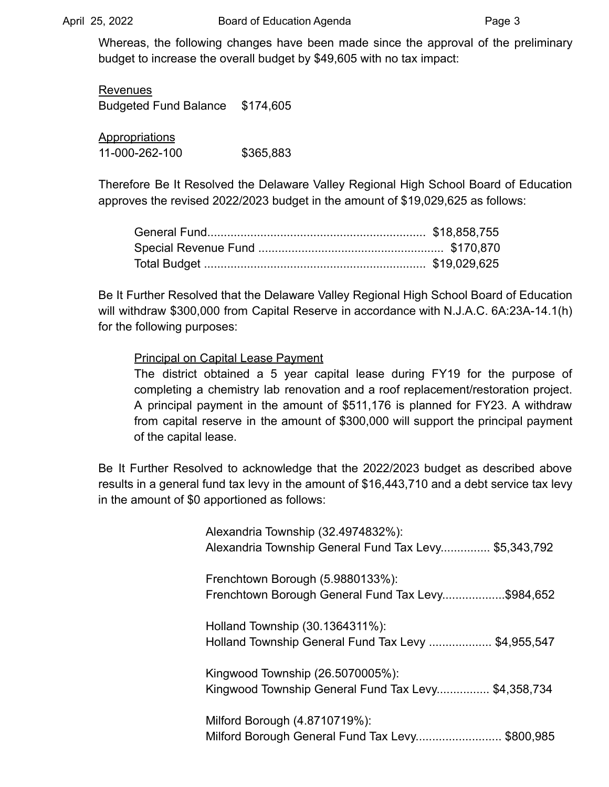Whereas, the following changes have been made since the approval of the preliminary budget to increase the overall budget by \$49,605 with no tax impact:

Revenues Budgeted Fund Balance \$174,605

**Appropriations** 11-000-262-100 \$365,883

Therefore Be It Resolved the Delaware Valley Regional High School Board of Education approves the revised 2022/2023 budget in the amount of \$19,029,625 as follows:

Be It Further Resolved that the Delaware Valley Regional High School Board of Education will withdraw \$300,000 from Capital Reserve in accordance with N.J.A.C. 6A:23A-14.1(h) for the following purposes:

Principal on Capital Lease Payment

The district obtained a 5 year capital lease during FY19 for the purpose of completing a chemistry lab renovation and a roof replacement/restoration project. A principal payment in the amount of \$511,176 is planned for FY23. A withdraw from capital reserve in the amount of \$300,000 will support the principal payment of the capital lease.

Be It Further Resolved to acknowledge that the 2022/2023 budget as described above results in a general fund tax levy in the amount of \$16,443,710 and a debt service tax levy in the amount of \$0 apportioned as follows:

| Alexandria Township (32.4974832%):<br>Alexandria Township General Fund Tax Levy \$5,343,792 |
|---------------------------------------------------------------------------------------------|
| Frenchtown Borough (5.9880133%):<br>Frenchtown Borough General Fund Tax Levy\$984,652       |
| Holland Township (30.1364311%):<br>Holland Township General Fund Tax Levy  \$4,955,547      |
| Kingwood Township (26.5070005%):<br>Kingwood Township General Fund Tax Levy \$4,358,734     |
| Milford Borough (4.8710719%):<br>Milford Borough General Fund Tax Levy \$800,985            |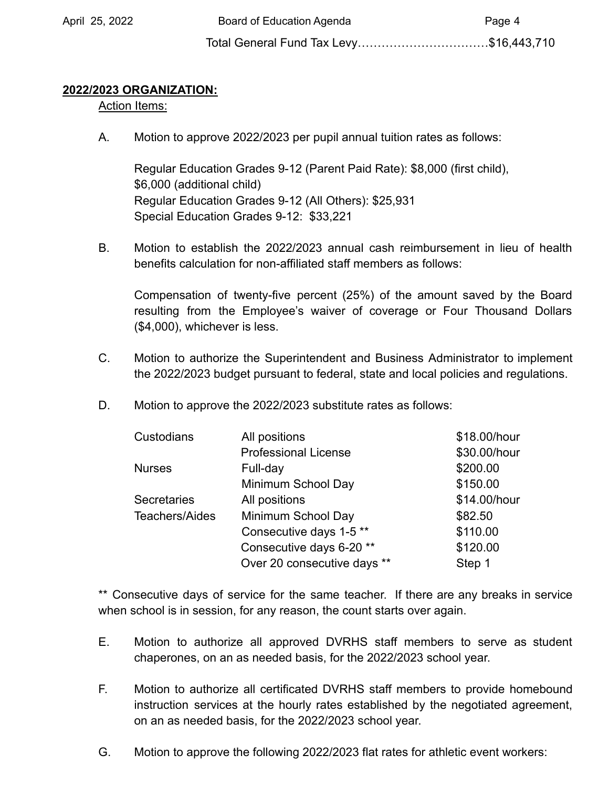Total General Fund Tax Levy……………………………\$16,443,710

# **2022/2023 ORGANIZATION:**

# Action Items:

A. Motion to approve 2022/2023 per pupil annual tuition rates as follows:

Regular Education Grades 9-12 (Parent Paid Rate): \$8,000 (first child), \$6,000 (additional child) Regular Education Grades 9-12 (All Others): \$25,931 Special Education Grades 9-12: \$33,221

B. Motion to establish the 2022/2023 annual cash reimbursement in lieu of health benefits calculation for non-affiliated staff members as follows:

Compensation of twenty-five percent (25%) of the amount saved by the Board resulting from the Employee's waiver of coverage or Four Thousand Dollars (\$4,000), whichever is less.

- C. Motion to authorize the Superintendent and Business Administrator to implement the 2022/2023 budget pursuant to federal, state and local policies and regulations.
- D. Motion to approve the 2022/2023 substitute rates as follows:

| Custodians         | All positions                      | \$18.00/hour |
|--------------------|------------------------------------|--------------|
|                    | <b>Professional License</b>        | \$30.00/hour |
| <b>Nurses</b>      | Full-day                           | \$200.00     |
|                    | Minimum School Day                 | \$150.00     |
| <b>Secretaries</b> | All positions                      | \$14.00/hour |
| Teachers/Aides     | Minimum School Day                 | \$82.50      |
|                    | Consecutive days 1-5 <sup>**</sup> | \$110.00     |
|                    | Consecutive days 6-20 **           | \$120.00     |
|                    | Over 20 consecutive days **        | Step 1       |

\*\* Consecutive days of service for the same teacher. If there are any breaks in service when school is in session, for any reason, the count starts over again.

- E. Motion to authorize all approved DVRHS staff members to serve as student chaperones, on an as needed basis, for the 2022/2023 school year.
- F. Motion to authorize all certificated DVRHS staff members to provide homebound instruction services at the hourly rates established by the negotiated agreement, on an as needed basis, for the 2022/2023 school year.
- G. Motion to approve the following 2022/2023 flat rates for athletic event workers: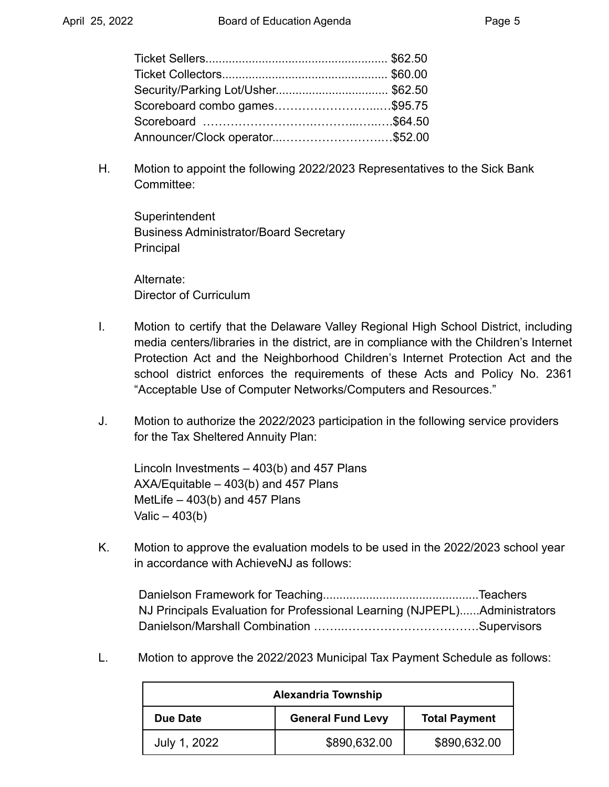| Security/Parking Lot/Usher\$62.50 |  |
|-----------------------------------|--|
| Scoreboard combo games\$95.75     |  |
|                                   |  |
| Announcer/Clock operator\$52.00   |  |

H. Motion to appoint the following 2022/2023 Representatives to the Sick Bank Committee:

**Superintendent** Business Administrator/Board Secretary Principal

Alternate: Director of Curriculum

- I. Motion to certify that the Delaware Valley Regional High School District, including media centers/libraries in the district, are in compliance with the Children's Internet Protection Act and the Neighborhood Children's Internet Protection Act and the school district enforces the requirements of these Acts and Policy No. 2361 "Acceptable Use of Computer Networks/Computers and Resources."
- J. Motion to authorize the 2022/2023 participation in the following service providers for the Tax Sheltered Annuity Plan:

Lincoln Investments – 403(b) and 457 Plans AXA/Equitable – 403(b) and 457 Plans MetLife  $-403(b)$  and 457 Plans Valic  $-403(b)$ 

K. Motion to approve the evaluation models to be used in the 2022/2023 school year in accordance with AchieveNJ as follows:

Danielson Framework for Teaching...............................................Teachers NJ Principals Evaluation for Professional Learning (NJPEPL)......Administrators Danielson/Marshall Combination ……..…………………………….Supervisors

L. Motion to approve the 2022/2023 Municipal Tax Payment Schedule as follows:

| <b>Alexandria Township</b>                                   |              |              |  |  |
|--------------------------------------------------------------|--------------|--------------|--|--|
| <b>General Fund Levy</b><br><b>Total Payment</b><br>Due Date |              |              |  |  |
| July 1, 2022                                                 | \$890,632.00 | \$890,632.00 |  |  |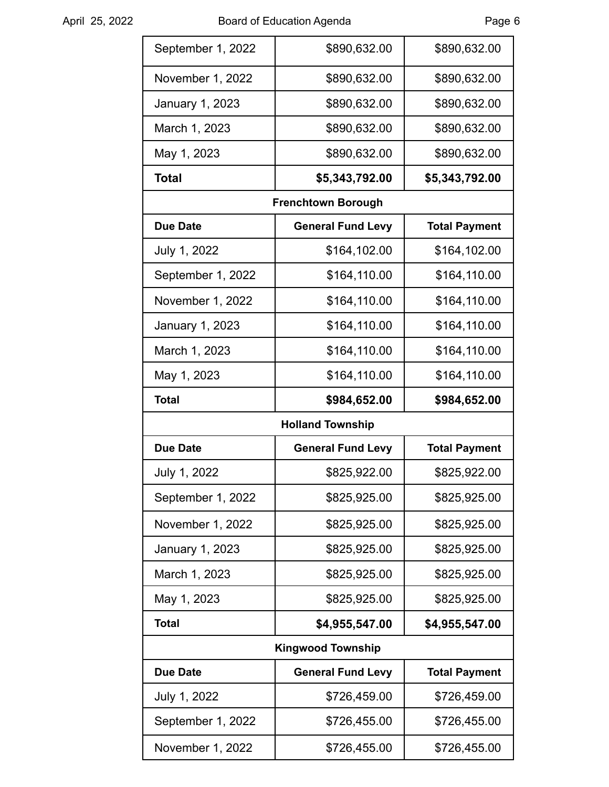| September 1, 2022        | \$890,632.00                     | \$890,632.00         |  |  |
|--------------------------|----------------------------------|----------------------|--|--|
| November 1, 2022         | \$890,632.00                     | \$890,632.00         |  |  |
| January 1, 2023          | \$890,632.00                     | \$890,632.00         |  |  |
| March 1, 2023            | \$890,632.00                     | \$890,632.00         |  |  |
| May 1, 2023              | \$890,632.00                     | \$890,632.00         |  |  |
| <b>Total</b>             | \$5,343,792.00                   | \$5,343,792.00       |  |  |
|                          | <b>Frenchtown Borough</b>        |                      |  |  |
| <b>Due Date</b>          | <b>General Fund Levy</b>         | <b>Total Payment</b> |  |  |
| July 1, 2022             | \$164,102.00                     | \$164,102.00         |  |  |
| September 1, 2022        | \$164,110.00                     | \$164,110.00         |  |  |
| November 1, 2022         | \$164,110.00                     | \$164,110.00         |  |  |
| January 1, 2023          | \$164,110.00                     | \$164,110.00         |  |  |
| March 1, 2023            | \$164,110.00                     | \$164,110.00         |  |  |
| May 1, 2023              | \$164,110.00                     | \$164,110.00         |  |  |
| <b>Total</b>             | \$984,652.00                     | \$984,652.00         |  |  |
|                          | <b>Holland Township</b>          |                      |  |  |
| <b>Due Date</b>          | <b>General Fund Levy</b>         | <b>Total Payment</b> |  |  |
| July 1, 2022             | \$825,922.00                     | \$825,922.00         |  |  |
| September 1, 2022        | \$825,925.00                     | \$825,925.00         |  |  |
| November 1, 2022         | \$825,925.00                     | \$825,925.00         |  |  |
| January 1, 2023          | \$825,925.00                     | \$825,925.00         |  |  |
| March 1, 2023            | \$825,925.00                     | \$825,925.00         |  |  |
| May 1, 2023              | \$825,925.00                     | \$825,925.00         |  |  |
| <b>Total</b>             | \$4,955,547.00<br>\$4,955,547.00 |                      |  |  |
| <b>Kingwood Township</b> |                                  |                      |  |  |
| <b>Due Date</b>          | <b>General Fund Levy</b>         | <b>Total Payment</b> |  |  |
| July 1, 2022             | \$726,459.00                     | \$726,459.00         |  |  |
| September 1, 2022        | \$726,455.00                     | \$726,455.00         |  |  |
| November 1, 2022         | \$726,455.00                     | \$726,455.00         |  |  |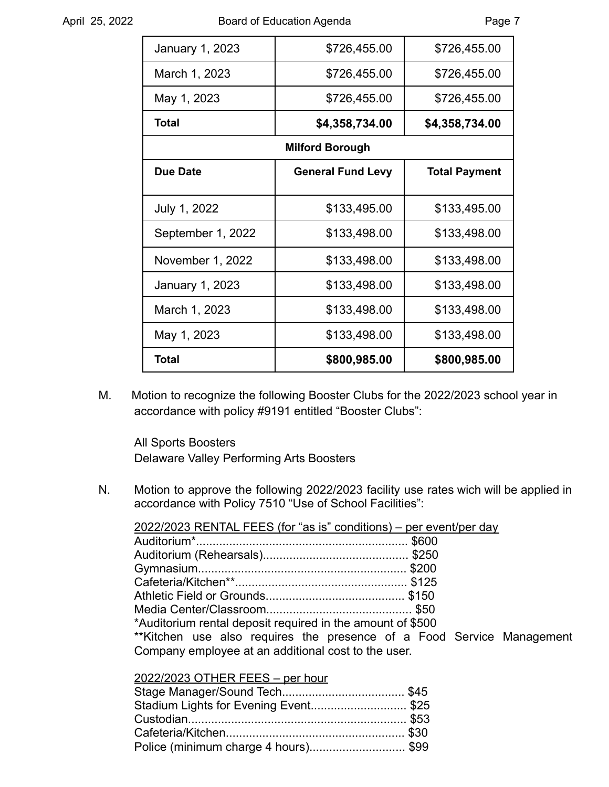| January 1, 2023   | \$726,455.00             | \$726,455.00         |
|-------------------|--------------------------|----------------------|
| March 1, 2023     | \$726,455.00             | \$726,455.00         |
| May 1, 2023       | \$726,455.00             | \$726,455.00         |
| Total             | \$4,358,734.00           | \$4,358,734.00       |
|                   | <b>Milford Borough</b>   |                      |
| <b>Due Date</b>   | <b>General Fund Levy</b> | <b>Total Payment</b> |
|                   |                          |                      |
| July 1, 2022      | \$133,495.00             | \$133,495.00         |
| September 1, 2022 | \$133,498.00             | \$133,498.00         |
| November 1, 2022  | \$133,498.00             | \$133,498.00         |
| January 1, 2023   | \$133,498.00             | \$133,498.00         |
| March 1, 2023     | \$133,498.00             | \$133,498.00         |
| May 1, 2023       | \$133,498.00             | \$133,498.00         |
| Total             | \$800,985.00             | \$800,985.00         |

M. Motion to recognize the following Booster Clubs for the 2022/2023 school year in accordance with policy #9191 entitled "Booster Clubs":

All Sports Boosters Delaware Valley Performing Arts Boosters

N. Motion to approve the following 2022/2023 facility use rates wich will be applied in accordance with Policy 7510 "Use of School Facilities":

2022/2023 RENTAL FEES (for "as is" conditions) – per event/per day Auditorium\*................................................................ \$600 Auditorium (Rehearsals)............................................ \$250 Gymnasium............................................................... \$200 Cafeteria/Kitchen\*\*.................................................... \$125 Athletic Field or Grounds.......................................... \$150 Media Center/Classroom............................................ \$50 \*Auditorium rental deposit required in the amount of \$500 \*\*Kitchen use also requires the presence of a Food Service Management Company employee at an additional cost to the user.

#### 2022/2023 OTHER FEES – per hour

| Stadium Lights for Evening Event \$25 |  |
|---------------------------------------|--|
|                                       |  |
|                                       |  |
| Police (minimum charge 4 hours)\$99   |  |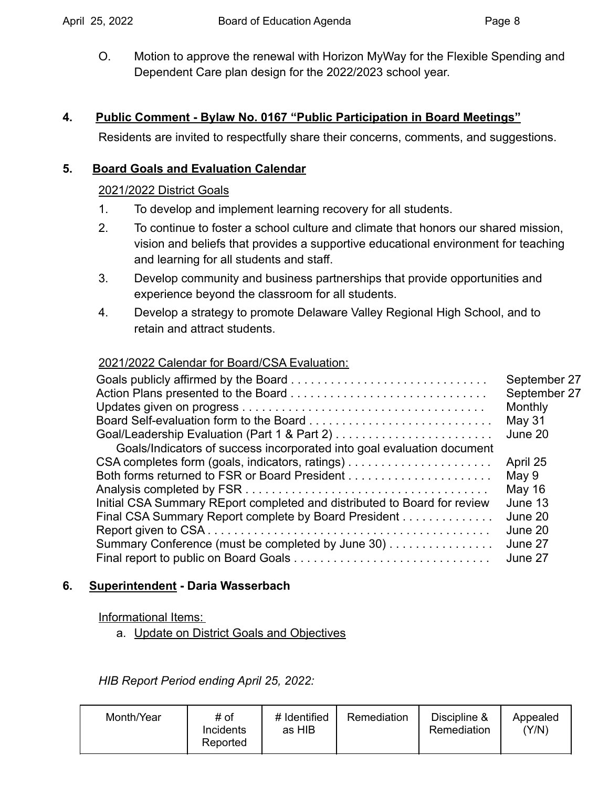O. Motion to approve the renewal with Horizon MyWay for the Flexible Spending and Dependent Care plan design for the 2022/2023 school year.

# **4. Public Comment - Bylaw No. 0167 "Public Participation in Board Meetings"**

Residents are invited to respectfully share their concerns, comments, and suggestions.

# **5. Board Goals and Evaluation Calendar**

# 2021/2022 District Goals

- 1. To develop and implement learning recovery for all students.
- 2. To continue to foster a school culture and climate that honors our shared mission, vision and beliefs that provides a supportive educational environment for teaching and learning for all students and staff.
- 3. Develop community and business partnerships that provide opportunities and experience beyond the classroom for all students.
- 4. Develop a strategy to promote Delaware Valley Regional High School, and to retain and attract students.

# 2021/2022 Calendar for Board/CSA Evaluation:

| Goals/Indicators of success incorporated into goal evaluation document   | September 27<br>September 27<br>Monthly<br><b>May 31</b><br>June 20 |
|--------------------------------------------------------------------------|---------------------------------------------------------------------|
|                                                                          | April 25                                                            |
|                                                                          | May 9                                                               |
|                                                                          | May 16                                                              |
| Initial CSA Summary REport completed and distributed to Board for review | June 13                                                             |
| Final CSA Summary Report complete by Board President                     | June 20                                                             |
|                                                                          | June 20                                                             |
| Summary Conference (must be completed by June 30)                        | June 27                                                             |
|                                                                          | June 27                                                             |

# **6. Superintendent - Daria Wasserbach**

# Informational Items:

a. Update on District Goals and Objectives

*HIB Report Period ending April 25, 2022:*

| Month/Year | # Identified<br># of<br><b>Incidents</b><br>as HIB<br>Reported | Remediation | Discipline &<br>Remediation | Appealed<br>(Y/N) |
|------------|----------------------------------------------------------------|-------------|-----------------------------|-------------------|
|------------|----------------------------------------------------------------|-------------|-----------------------------|-------------------|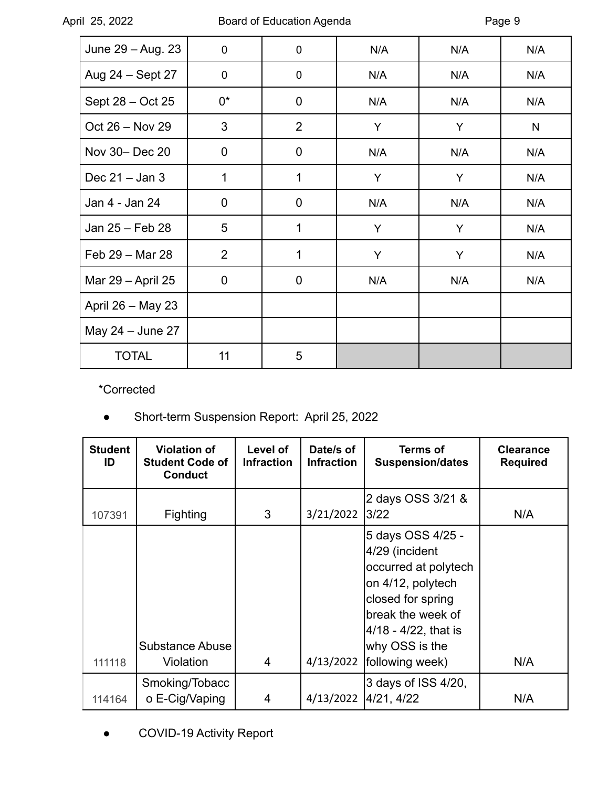April 25, 2022

| June 29 - Aug. 23 | 0        | $\pmb{0}$      | N/A | N/A | N/A |
|-------------------|----------|----------------|-----|-----|-----|
| Aug 24 - Sept 27  | 0        | $\mathbf 0$    | N/A | N/A | N/A |
| Sept 28 - Oct 25  | 0*       | $\mathbf 0$    | N/A | N/A | N/A |
| Oct 26 - Nov 29   | 3        | $\overline{2}$ | Y   | Y   | N   |
| Nov 30- Dec 20    | $\Omega$ | $\overline{0}$ | N/A | N/A | N/A |
| Dec $21 -$ Jan 3  | 1        | 1              | Y   | Y   | N/A |
| Jan 4 - Jan 24    | 0        | $\mathbf 0$    | N/A | N/A | N/A |
| Jan 25 - Feb 28   | 5        | 1              | Y   | Y   | N/A |
| Feb 29 - Mar 28   | 2        | 1              | Y   | Y   | N/A |
| Mar 29 - April 25 | 0        | $\mathbf 0$    | N/A | N/A | N/A |
| April 26 - May 23 |          |                |     |     |     |
| May 24 - June 27  |          |                |     |     |     |
| <b>TOTAL</b>      | 11       | 5              |     |     |     |

\*Corrected

● Short-term Suspension Report: April 25, 2022

| <b>Student</b><br>ID | <b>Violation of</b><br><b>Student Code of</b><br><b>Conduct</b> | Level of<br><b>Infraction</b> | Date/s of<br><b>Infraction</b> | <b>Terms of</b><br><b>Suspension/dates</b>                                                                                                                                              | <b>Clearance</b><br><b>Required</b> |
|----------------------|-----------------------------------------------------------------|-------------------------------|--------------------------------|-----------------------------------------------------------------------------------------------------------------------------------------------------------------------------------------|-------------------------------------|
| 107391               | <b>Fighting</b>                                                 | 3                             | 3/21/2022                      | 2 days OSS 3/21 &<br>3/22                                                                                                                                                               | N/A                                 |
| 111118               | <b>Substance Abuse</b><br>Violation                             | 4                             | 4/13/2022                      | 5 days OSS 4/25 -<br>4/29 (incident<br>occurred at polytech<br>on 4/12, polytech<br>closed for spring<br>break the week of<br>4/18 - 4/22, that is<br>why OSS is the<br>following week) | N/A                                 |
| 114164               | Smoking/Tobacc<br>o E-Cig/Vaping                                | 4                             | 4/13/2022                      | 3 days of ISS 4/20,<br>4/21, 4/22                                                                                                                                                       | N/A                                 |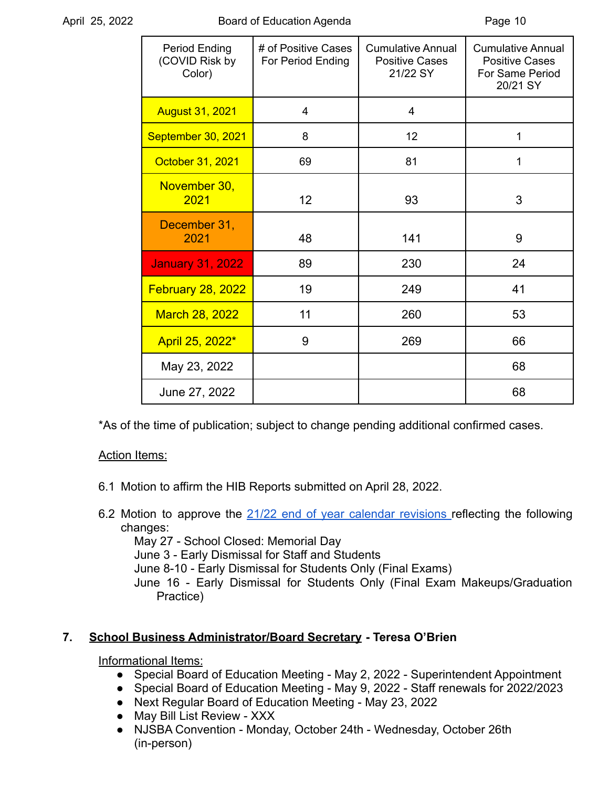| Period Ending<br>(COVID Risk by<br>Color) | # of Positive Cases<br>For Period Ending | <b>Cumulative Annual</b><br><b>Positive Cases</b><br>21/22 SY | <b>Cumulative Annual</b><br><b>Positive Cases</b><br>For Same Period<br>20/21 SY |
|-------------------------------------------|------------------------------------------|---------------------------------------------------------------|----------------------------------------------------------------------------------|
| <b>August 31, 2021</b>                    | 4                                        | $\overline{4}$                                                |                                                                                  |
| September 30, 2021                        | 8                                        | 12                                                            | 1                                                                                |
| October 31, 2021                          | 69                                       | 81                                                            | 1                                                                                |
| November 30,<br>2021                      | 12                                       | 93                                                            | 3                                                                                |
| December 31,<br>2021                      | 48                                       | 141                                                           | 9                                                                                |
| <b>January 31, 2022</b>                   | 89                                       | 230                                                           | 24                                                                               |
| <b>February 28, 2022</b>                  | 19                                       | 249                                                           | 41                                                                               |
| <b>March 28, 2022</b>                     | 11                                       | 260                                                           | 53                                                                               |
| April 25, 2022*                           | 9                                        | 269                                                           | 66                                                                               |
| May 23, 2022                              |                                          |                                                               | 68                                                                               |
| June 27, 2022                             |                                          |                                                               | 68                                                                               |

\*As of the time of publication; subject to change pending additional confirmed cases.

# Action Items:

- 6.1 Motion to affirm the HIB Reports submitted on April 28, 2022.
- 6.2 Motion to approve the 21/22 end of year calendar [revisions](https://drive.google.com/file/d/1bcn83oZhoLhxxYBUILEXJ_GwgPZjzmAi/view?usp=sharing) reflecting the following changes:

May 27 - School Closed: Memorial Day

June 3 - Early Dismissal for Staff and Students

June 8-10 - Early Dismissal for Students Only (Final Exams)

June 16 - Early Dismissal for Students Only (Final Exam Makeups/Graduation Practice)

# **7. School Business Administrator/Board Secretary - Teresa O'Brien**

Informational Items:

- Special Board of Education Meeting May 2, 2022 Superintendent Appointment
- Special Board of Education Meeting May 9, 2022 Staff renewals for 2022/2023
- Next Regular Board of Education Meeting May 23, 2022
- May Bill List Review XXX
- NJSBA Convention Monday, October 24th Wednesday, October 26th (in-person)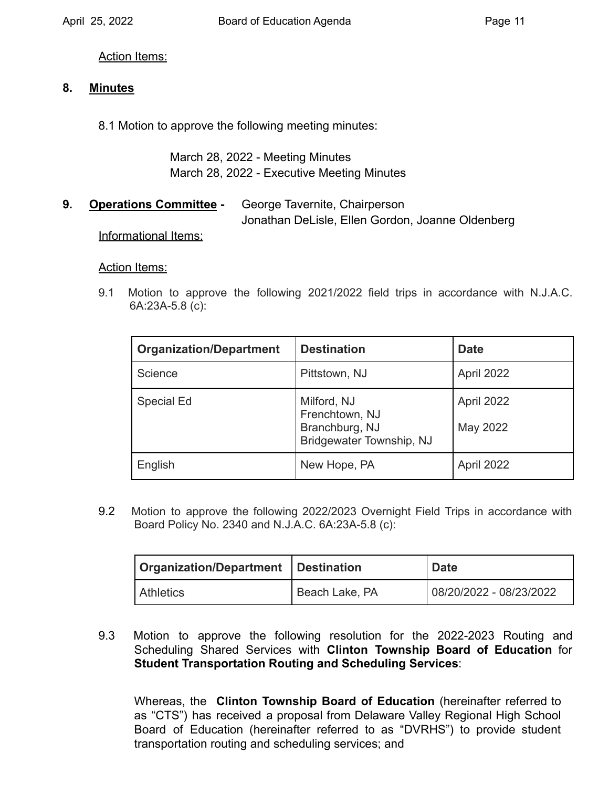Action Items:

## **8. Minutes**

8.1 Motion to approve the following meeting minutes:

March 28, 2022 - Meeting Minutes March 28, 2022 - Executive Meeting Minutes

**9. Operations Committee -** George Tavernite, Chairperson Jonathan DeLisle, Ellen Gordon, Joanne Oldenberg

Informational Items:

#### Action Items:

9.1 Motion to approve the following 2021/2022 field trips in accordance with N.J.A.C. 6A:23A-5.8 (c):

| <b>Organization/Department</b> | <b>Destination</b>                                                          | <b>Date</b>            |
|--------------------------------|-----------------------------------------------------------------------------|------------------------|
| Science                        | Pittstown, NJ                                                               | April 2022             |
| Special Ed                     | Milford, NJ<br>Frenchtown, NJ<br>Branchburg, NJ<br>Bridgewater Township, NJ | April 2022<br>May 2022 |
| English                        | New Hope, PA                                                                | April 2022             |

 Board Policy No. 2340 and N.J.A.C. 6A:23A-5.8 (c): 9.2 Motion to approve the following 2022/2023 Overnight Field Trips in accordance with

| Organization/Department   Destination |                | <b>Date</b>             |  |
|---------------------------------------|----------------|-------------------------|--|
| Athletics                             | Beach Lake, PA | 08/20/2022 - 08/23/2022 |  |

9.3 Motion to approve the following resolution for the 2022-2023 Routing and Scheduling Shared Services with **Clinton Township Board of Education** for **Student Transportation Routing and Scheduling Services**:

Whereas, the **Clinton Township Board of Education** (hereinafter referred to as "CTS") has received a proposal from Delaware Valley Regional High School Board of Education (hereinafter referred to as "DVRHS") to provide student transportation routing and scheduling services; and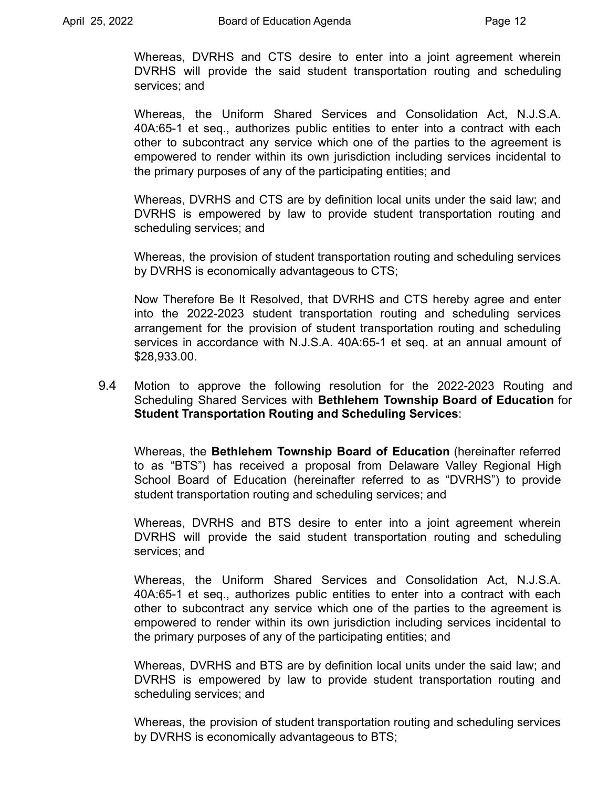Whereas, DVRHS and CTS desire to enter into a joint agreement wherein DVRHS will provide the said student transportation routing and scheduling services; and

Whereas, the Uniform Shared Services and Consolidation Act, N.J.S.A. 40A:65-1 et seq., authorizes public entities to enter into a contract with each other to subcontract any service which one of the parties to the agreement is empowered to render within its own jurisdiction including services incidental to the primary purposes of any of the participating entities; and

Whereas, DVRHS and CTS are by definition local units under the said law; and DVRHS is empowered by law to provide student transportation routing and scheduling services; and

Whereas, the provision of student transportation routing and scheduling services by DVRHS is economically advantageous to CTS;

Now Therefore Be It Resolved, that DVRHS and CTS hereby agree and enter into the 2022-2023 student transportation routing and scheduling services arrangement for the provision of student transportation routing and scheduling services in accordance with N.J.S.A. 40A:65-1 et seq. at an annual amount of \$[28,933.00.](https://28,933.00)

9.4 Motion to approve the following resolution for the 2022-2023 Routing and Scheduling Shared Services with **Bethlehem Township Board of Education** for **Student Transportation Routing and Scheduling Services**:

Whereas, the **Bethlehem Township Board of Education** (hereinafter referred to as "BTS") has received a proposal from Delaware Valley Regional High School Board of Education (hereinafter referred to as "DVRHS") to provide student transportation routing and scheduling services; and

Whereas, DVRHS and BTS desire to enter into a joint agreement wherein DVRHS will provide the said student transportation routing and scheduling services; and

Whereas, the Uniform Shared Services and Consolidation Act, N.J.S.A. 40A:65-1 et seq., authorizes public entities to enter into a contract with each other to subcontract any service which one of the parties to the agreement is empowered to render within its own jurisdiction including services incidental to the primary purposes of any of the participating entities; and

Whereas, DVRHS and BTS are by definition local units under the said law; and DVRHS is empowered by law to provide student transportation routing and scheduling services; and

Whereas, the provision of student transportation routing and scheduling services by DVRHS is economically advantageous to BTS;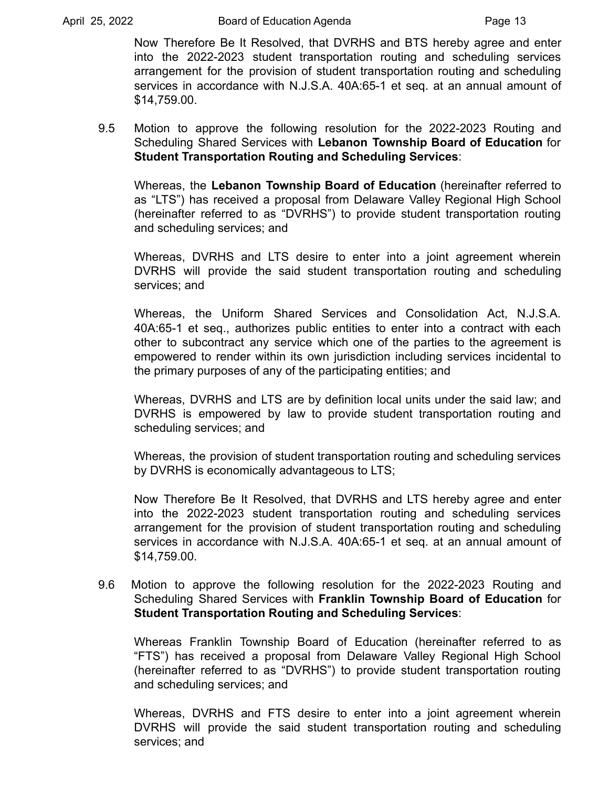Now Therefore Be It Resolved, that DVRHS and BTS hereby agree and enter into the 2022-2023 student transportation routing and scheduling services arrangement for the provision of student transportation routing and scheduling services in accordance with N.J.S.A. 40A:65-1 et seq. at an annual amount of \$[14,759.00.](https://14,759.00)

9.5 Motion to approve the following resolution for the 2022-2023 Routing and Scheduling Shared Services with **Lebanon Township Board of Education** for **Student Transportation Routing and Scheduling Services**:

Whereas, the **Lebanon Township Board of Education** (hereinafter referred to as "LTS") has received a proposal from Delaware Valley Regional High School (hereinafter referred to as "DVRHS") to provide student transportation routing and scheduling services; and

Whereas, DVRHS and LTS desire to enter into a joint agreement wherein DVRHS will provide the said student transportation routing and scheduling services; and

Whereas, the Uniform Shared Services and Consolidation Act, N.J.S.A. 40A:65-1 et seq., authorizes public entities to enter into a contract with each other to subcontract any service which one of the parties to the agreement is empowered to render within its own jurisdiction including services incidental to the primary purposes of any of the participating entities; and

Whereas, DVRHS and LTS are by definition local units under the said law; and DVRHS is empowered by law to provide student transportation routing and scheduling services; and

Whereas, the provision of student transportation routing and scheduling services by DVRHS is economically advantageous to LTS;

Now Therefore Be It Resolved, that DVRHS and LTS hereby agree and enter into the 2022-2023 student transportation routing and scheduling services arrangement for the provision of student transportation routing and scheduling services in accordance with N.J.S.A. 40A:65-1 et seq. at an annual amount of \$[14,759.00.](https://14,759.00)

9.6 Motion to approve the following resolution for the 2022-2023 Routing and Scheduling Shared Services with **Franklin Township Board of Education** for **Student Transportation Routing and Scheduling Services**:

Whereas Franklin Township Board of Education (hereinafter referred to as "FTS") has received a proposal from Delaware Valley Regional High School (hereinafter referred to as "DVRHS") to provide student transportation routing and scheduling services; and

Whereas, DVRHS and FTS desire to enter into a joint agreement wherein DVRHS will provide the said student transportation routing and scheduling services; and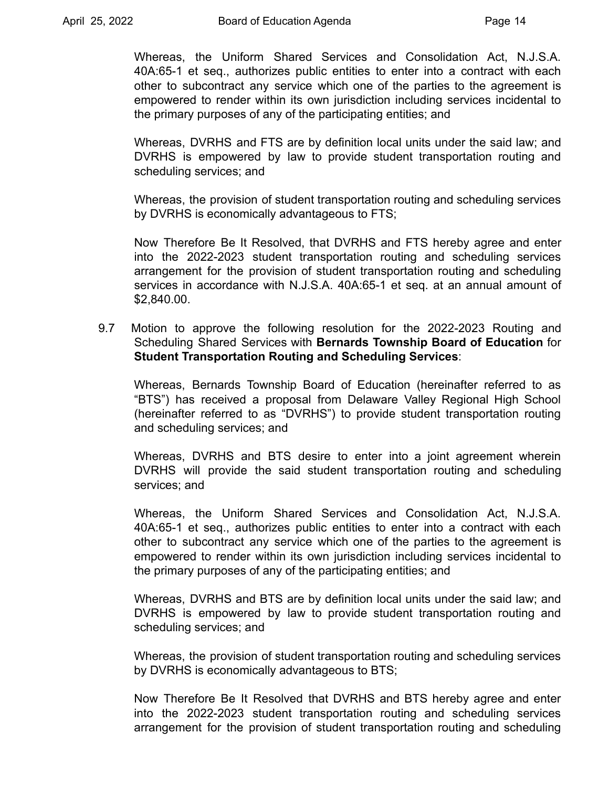Whereas, the Uniform Shared Services and Consolidation Act, N.J.S.A. 40A:65-1 et seq., authorizes public entities to enter into a contract with each other to subcontract any service which one of the parties to the agreement is empowered to render within its own jurisdiction including services incidental to the primary purposes of any of the participating entities; and

Whereas, DVRHS and FTS are by definition local units under the said law; and DVRHS is empowered by law to provide student transportation routing and scheduling services; and

Whereas, the provision of student transportation routing and scheduling services by DVRHS is economically advantageous to FTS;

Now Therefore Be It Resolved, that DVRHS and FTS hereby agree and enter into the 2022-2023 student transportation routing and scheduling services arrangement for the provision of student transportation routing and scheduling services in accordance with N.J.S.A. 40A:65-1 et seq. at an annual amount of \$[2,840.00](https://2,840.00).

9.7 Motion to approve the following resolution for the 2022-2023 Routing and Scheduling Shared Services with **Bernards Township Board of Education** for **Student Transportation Routing and Scheduling Services**:

Whereas, Bernards Township Board of Education (hereinafter referred to as "BTS") has received a proposal from Delaware Valley Regional High School (hereinafter referred to as "DVRHS") to provide student transportation routing and scheduling services; and

Whereas, DVRHS and BTS desire to enter into a joint agreement wherein DVRHS will provide the said student transportation routing and scheduling services; and

Whereas, the Uniform Shared Services and Consolidation Act, N.J.S.A. 40A:65-1 et seq., authorizes public entities to enter into a contract with each other to subcontract any service which one of the parties to the agreement is empowered to render within its own jurisdiction including services incidental to the primary purposes of any of the participating entities; and

Whereas, DVRHS and BTS are by definition local units under the said law; and DVRHS is empowered by law to provide student transportation routing and scheduling services; and

Whereas, the provision of student transportation routing and scheduling services by DVRHS is economically advantageous to BTS;

Now Therefore Be It Resolved that DVRHS and BTS hereby agree and enter into the 2022-2023 student transportation routing and scheduling services arrangement for the provision of student transportation routing and scheduling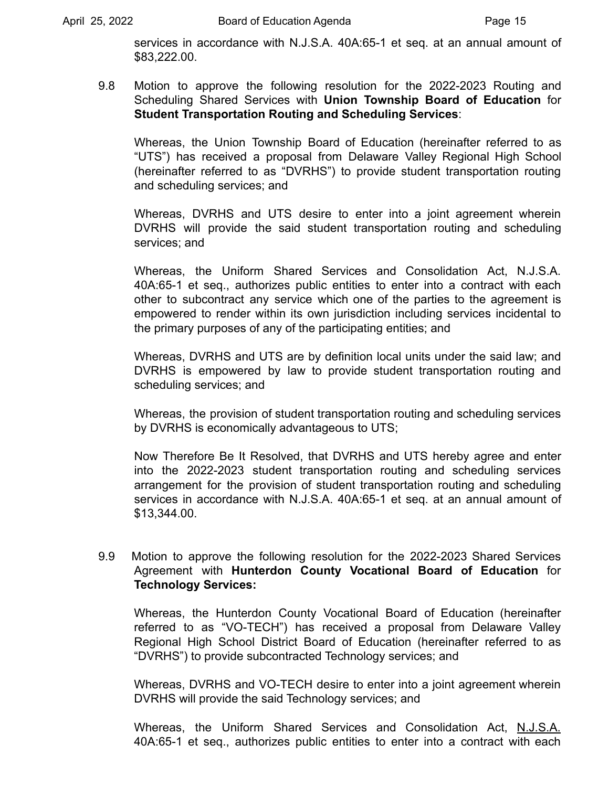services in accordance with N.J.S.A. 40A:65-1 et seq. at an annual amount of \$[83,222.00](https://83,222.00).

9.8 Motion to approve the following resolution for the 2022-2023 Routing and Scheduling Shared Services with **Union Township Board of Education** for **Student Transportation Routing and Scheduling Services**:

Whereas, the Union Township Board of Education (hereinafter referred to as "UTS") has received a proposal from Delaware Valley Regional High School (hereinafter referred to as "DVRHS") to provide student transportation routing and scheduling services; and

Whereas, DVRHS and UTS desire to enter into a joint agreement wherein DVRHS will provide the said student transportation routing and scheduling services; and

Whereas, the Uniform Shared Services and Consolidation Act, N.J.S.A. 40A:65-1 et seq., authorizes public entities to enter into a contract with each other to subcontract any service which one of the parties to the agreement is empowered to render within its own jurisdiction including services incidental to the primary purposes of any of the participating entities; and

Whereas, DVRHS and UTS are by definition local units under the said law; and DVRHS is empowered by law to provide student transportation routing and scheduling services; and

Whereas, the provision of student transportation routing and scheduling services by DVRHS is economically advantageous to UTS;

Now Therefore Be It Resolved, that DVRHS and UTS hereby agree and enter into the 2022-2023 student transportation routing and scheduling services arrangement for the provision of student transportation routing and scheduling services in accordance with N.J.S.A. 40A:65-1 et seq. at an annual amount of \$[13,344.00.](https://13,344.00)

### 9.9 Motion to approve the following resolution for the 2022-2023 Shared Services Agreement with **Hunterdon County Vocational Board of Education** for **Technology Services:**

Whereas, the Hunterdon County Vocational Board of Education (hereinafter referred to as "VO-TECH") has received a proposal from Delaware Valley Regional High School District Board of Education (hereinafter referred to as "DVRHS") to provide subcontracted Technology services; and

Whereas, DVRHS and VO-TECH desire to enter into a joint agreement wherein DVRHS will provide the said Technology services; and

Whereas, the Uniform Shared Services and Consolidation Act, N.J.S.A. 40A:65-1 et seq., authorizes public entities to enter into a contract with each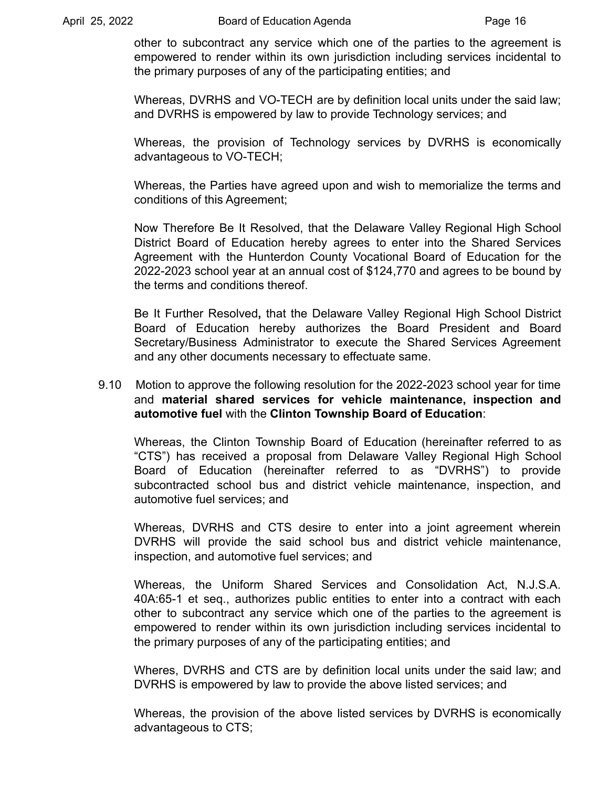other to subcontract any service which one of the parties to the agreement is empowered to render within its own jurisdiction including services incidental to the primary purposes of any of the participating entities; and

Whereas, DVRHS and VO-TECH are by definition local units under the said law; and DVRHS is empowered by law to provide Technology services; and

Whereas, the provision of Technology services by DVRHS is economically advantageous to VO-TECH;

Whereas, the Parties have agreed upon and wish to memorialize the terms and conditions of this Agreement;

Now Therefore Be It Resolved, that the Delaware Valley Regional High School District Board of Education hereby agrees to enter into the Shared Services Agreement with the Hunterdon County Vocational Board of Education for the 2022-2023 school year at an annual cost of \$124,770 and agrees to be bound by the terms and conditions thereof.

Be It Further Resolved**,** that the Delaware Valley Regional High School District Board of Education hereby authorizes the Board President and Board Secretary/Business Administrator to execute the Shared Services Agreement and any other documents necessary to effectuate same.

### 9.10 Motion to approve the following resolution for the 2022-2023 school year for time and **material shared services for vehicle maintenance, inspection and automotive fuel** with the **Clinton Township Board of Education**:

Whereas, the Clinton Township Board of Education (hereinafter referred to as "CTS") has received a proposal from Delaware Valley Regional High School Board of Education (hereinafter referred to as "DVRHS") to provide subcontracted school bus and district vehicle maintenance, inspection, and automotive fuel services; and

Whereas, DVRHS and CTS desire to enter into a joint agreement wherein DVRHS will provide the said school bus and district vehicle maintenance, inspection, and automotive fuel services; and

Whereas, the Uniform Shared Services and Consolidation Act, N.J.S.A. 40A:65-1 et seq., authorizes public entities to enter into a contract with each other to subcontract any service which one of the parties to the agreement is empowered to render within its own jurisdiction including services incidental to the primary purposes of any of the participating entities; and

Wheres, DVRHS and CTS are by definition local units under the said law; and DVRHS is empowered by law to provide the above listed services; and

Whereas, the provision of the above listed services by DVRHS is economically advantageous to CTS;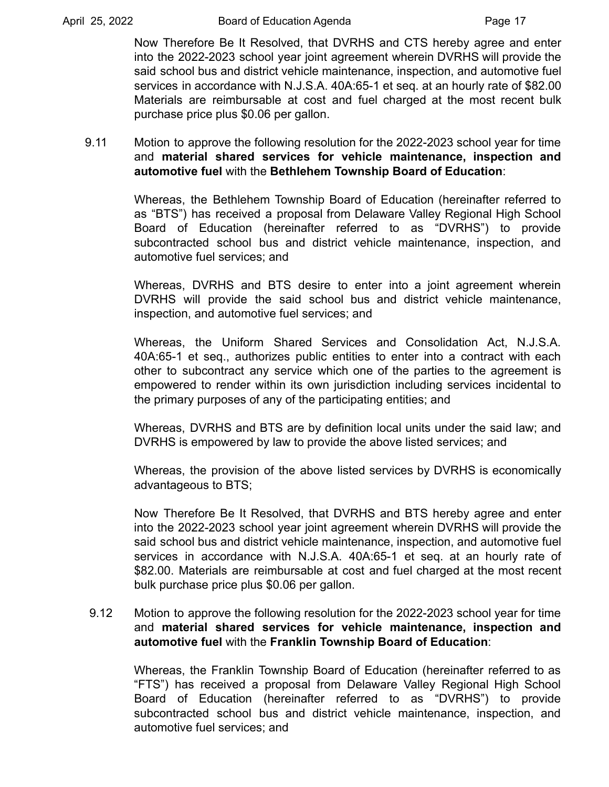Now Therefore Be It Resolved, that DVRHS and CTS hereby agree and enter into the 2022-2023 school year joint agreement wherein DVRHS will provide the said school bus and district vehicle maintenance, inspection, and automotive fuel services in accordance with N.J.S.A. 40A:65-1 et seq. at an hourly rate of \$82.00 Materials are reimbursable at cost and fuel charged at the most recent bulk purchase price plus \$0.06 per gallon.

## 9.11 Motion to approve the following resolution for the 2022-2023 school year for time and **material shared services for vehicle maintenance, inspection and automotive fuel** with the **Bethlehem Township Board of Education**:

Whereas, the Bethlehem Township Board of Education (hereinafter referred to as "BTS") has received a proposal from Delaware Valley Regional High School Board of Education (hereinafter referred to as "DVRHS") to provide subcontracted school bus and district vehicle maintenance, inspection, and automotive fuel services; and

Whereas, DVRHS and BTS desire to enter into a joint agreement wherein DVRHS will provide the said school bus and district vehicle maintenance, inspection, and automotive fuel services; and

Whereas, the Uniform Shared Services and Consolidation Act, N.J.S.A. 40A:65-1 et seq., authorizes public entities to enter into a contract with each other to subcontract any service which one of the parties to the agreement is empowered to render within its own jurisdiction including services incidental to the primary purposes of any of the participating entities; and

Whereas, DVRHS and BTS are by definition local units under the said law; and DVRHS is empowered by law to provide the above listed services; and

Whereas, the provision of the above listed services by DVRHS is economically advantageous to BTS;

Now Therefore Be It Resolved, that DVRHS and BTS hereby agree and enter into the 2022-2023 school year joint agreement wherein DVRHS will provide the said school bus and district vehicle maintenance, inspection, and automotive fuel services in accordance with N.J.S.A. 40A:65-1 et seq. at an hourly rate of \$82.00. Materials are reimbursable at cost and fuel charged at the most recent bulk purchase price plus \$0.06 per gallon.

# 9.12 Motion to approve the following resolution for the 2022-2023 school year for time and **material shared services for vehicle maintenance, inspection and automotive fuel** with the **Franklin Township Board of Education**:

Whereas, the Franklin Township Board of Education (hereinafter referred to as "FTS") has received a proposal from Delaware Valley Regional High School Board of Education (hereinafter referred to as "DVRHS") to provide subcontracted school bus and district vehicle maintenance, inspection, and automotive fuel services; and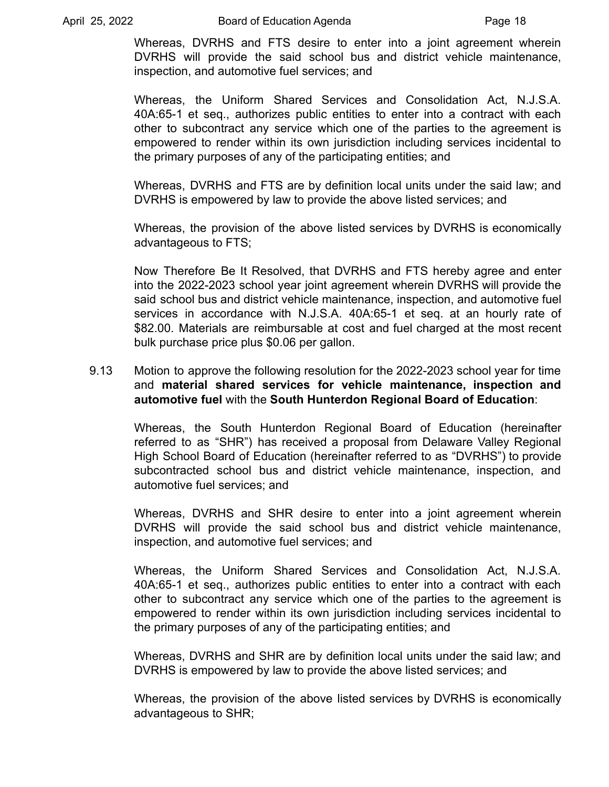April 25, 2022 **Board of Education Agenda** Page 18

Whereas, DVRHS and FTS desire to enter into a joint agreement wherein DVRHS will provide the said school bus and district vehicle maintenance, inspection, and automotive fuel services; and

Whereas, the Uniform Shared Services and Consolidation Act, N.J.S.A. 40A:65-1 et seq., authorizes public entities to enter into a contract with each other to subcontract any service which one of the parties to the agreement is empowered to render within its own jurisdiction including services incidental to the primary purposes of any of the participating entities; and

Whereas, DVRHS and FTS are by definition local units under the said law; and DVRHS is empowered by law to provide the above listed services; and

Whereas, the provision of the above listed services by DVRHS is economically advantageous to FTS;

Now Therefore Be It Resolved, that DVRHS and FTS hereby agree and enter into the 2022-2023 school year joint agreement wherein DVRHS will provide the said school bus and district vehicle maintenance, inspection, and automotive fuel services in accordance with N.J.S.A. 40A:65-1 et seq. at an hourly rate of \$82.00. Materials are reimbursable at cost and fuel charged at the most recent bulk purchase price plus \$0.06 per gallon.

### 9.13 Motion to approve the following resolution for the 2022-2023 school year for time and **material shared services for vehicle maintenance, inspection and automotive fuel** with the **South Hunterdon Regional Board of Education**:

Whereas, the South Hunterdon Regional Board of Education (hereinafter referred to as "SHR") has received a proposal from Delaware Valley Regional High School Board of Education (hereinafter referred to as "DVRHS") to provide subcontracted school bus and district vehicle maintenance, inspection, and automotive fuel services; and

Whereas, DVRHS and SHR desire to enter into a joint agreement wherein DVRHS will provide the said school bus and district vehicle maintenance, inspection, and automotive fuel services; and

Whereas, the Uniform Shared Services and Consolidation Act, N.J.S.A. 40A:65-1 et seq., authorizes public entities to enter into a contract with each other to subcontract any service which one of the parties to the agreement is empowered to render within its own jurisdiction including services incidental to the primary purposes of any of the participating entities; and

Whereas, DVRHS and SHR are by definition local units under the said law; and DVRHS is empowered by law to provide the above listed services; and

Whereas, the provision of the above listed services by DVRHS is economically advantageous to SHR;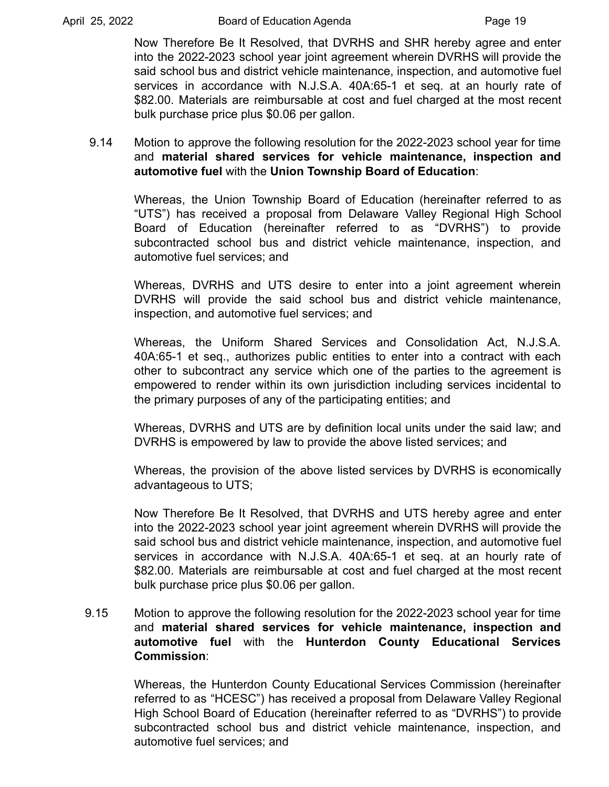Now Therefore Be It Resolved, that DVRHS and SHR hereby agree and enter into the 2022-2023 school year joint agreement wherein DVRHS will provide the said school bus and district vehicle maintenance, inspection, and automotive fuel services in accordance with N.J.S.A. 40A:65-1 et seq. at an hourly rate of \$82.00. Materials are reimbursable at cost and fuel charged at the most recent bulk purchase price plus \$0.06 per gallon.

## 9.14 Motion to approve the following resolution for the 2022-2023 school year for time and **material shared services for vehicle maintenance, inspection and automotive fuel** with the **Union Township Board of Education**:

Whereas, the Union Township Board of Education (hereinafter referred to as "UTS") has received a proposal from Delaware Valley Regional High School Board of Education (hereinafter referred to as "DVRHS") to provide subcontracted school bus and district vehicle maintenance, inspection, and automotive fuel services; and

Whereas, DVRHS and UTS desire to enter into a joint agreement wherein DVRHS will provide the said school bus and district vehicle maintenance, inspection, and automotive fuel services; and

Whereas, the Uniform Shared Services and Consolidation Act, N.J.S.A. 40A:65-1 et seq., authorizes public entities to enter into a contract with each other to subcontract any service which one of the parties to the agreement is empowered to render within its own jurisdiction including services incidental to the primary purposes of any of the participating entities; and

Whereas, DVRHS and UTS are by definition local units under the said law; and DVRHS is empowered by law to provide the above listed services; and

Whereas, the provision of the above listed services by DVRHS is economically advantageous to UTS;

Now Therefore Be It Resolved, that DVRHS and UTS hereby agree and enter into the 2022-2023 school year joint agreement wherein DVRHS will provide the said school bus and district vehicle maintenance, inspection, and automotive fuel services in accordance with N.J.S.A. 40A:65-1 et seq. at an hourly rate of \$82.00. Materials are reimbursable at cost and fuel charged at the most recent bulk purchase price plus \$0.06 per gallon.

## 9.15 Motion to approve the following resolution for the 2022-2023 school year for time and **material shared services for vehicle maintenance, inspection and automotive fuel** with the **Hunterdon County Educational Services Commission**:

Whereas, the Hunterdon County Educational Services Commission (hereinafter referred to as "HCESC") has received a proposal from Delaware Valley Regional High School Board of Education (hereinafter referred to as "DVRHS") to provide subcontracted school bus and district vehicle maintenance, inspection, and automotive fuel services; and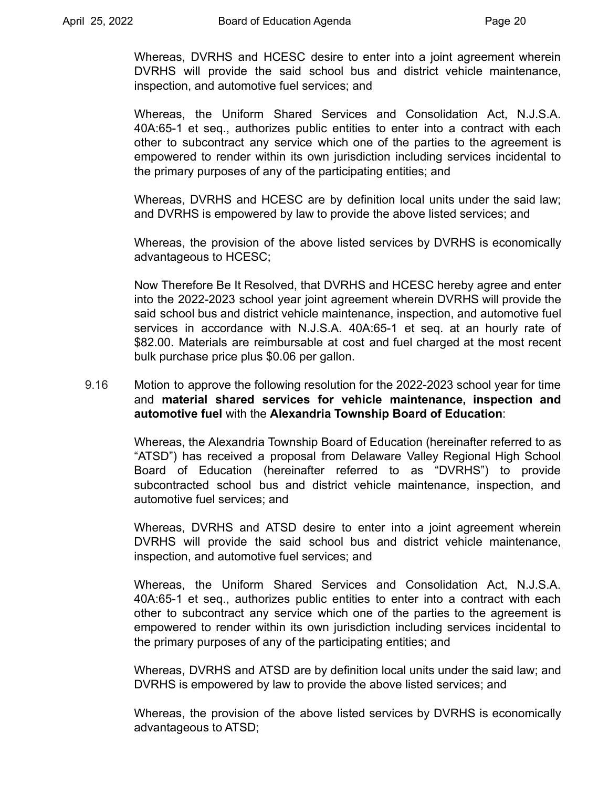Whereas, DVRHS and HCESC desire to enter into a joint agreement wherein DVRHS will provide the said school bus and district vehicle maintenance, inspection, and automotive fuel services; and

Whereas, the Uniform Shared Services and Consolidation Act, N.J.S.A. 40A:65-1 et seq., authorizes public entities to enter into a contract with each other to subcontract any service which one of the parties to the agreement is empowered to render within its own jurisdiction including services incidental to the primary purposes of any of the participating entities; and

Whereas, DVRHS and HCESC are by definition local units under the said law; and DVRHS is empowered by law to provide the above listed services; and

Whereas, the provision of the above listed services by DVRHS is economically advantageous to HCESC;

Now Therefore Be It Resolved, that DVRHS and HCESC hereby agree and enter into the 2022-2023 school year joint agreement wherein DVRHS will provide the said school bus and district vehicle maintenance, inspection, and automotive fuel services in accordance with N.J.S.A. 40A:65-1 et seq. at an hourly rate of \$82.00. Materials are reimbursable at cost and fuel charged at the most recent bulk purchase price plus \$0.06 per gallon.

### 9.16 Motion to approve the following resolution for the 2022-2023 school year for time and **material shared services for vehicle maintenance, inspection and automotive fuel** with the **Alexandria Township Board of Education**:

Whereas, the Alexandria Township Board of Education (hereinafter referred to as "ATSD") has received a proposal from Delaware Valley Regional High School Board of Education (hereinafter referred to as "DVRHS") to provide subcontracted school bus and district vehicle maintenance, inspection, and automotive fuel services; and

Whereas, DVRHS and ATSD desire to enter into a joint agreement wherein DVRHS will provide the said school bus and district vehicle maintenance, inspection, and automotive fuel services; and

Whereas, the Uniform Shared Services and Consolidation Act, N.J.S.A. 40A:65-1 et seq., authorizes public entities to enter into a contract with each other to subcontract any service which one of the parties to the agreement is empowered to render within its own jurisdiction including services incidental to the primary purposes of any of the participating entities; and

Whereas, DVRHS and ATSD are by definition local units under the said law; and DVRHS is empowered by law to provide the above listed services; and

Whereas, the provision of the above listed services by DVRHS is economically advantageous to ATSD;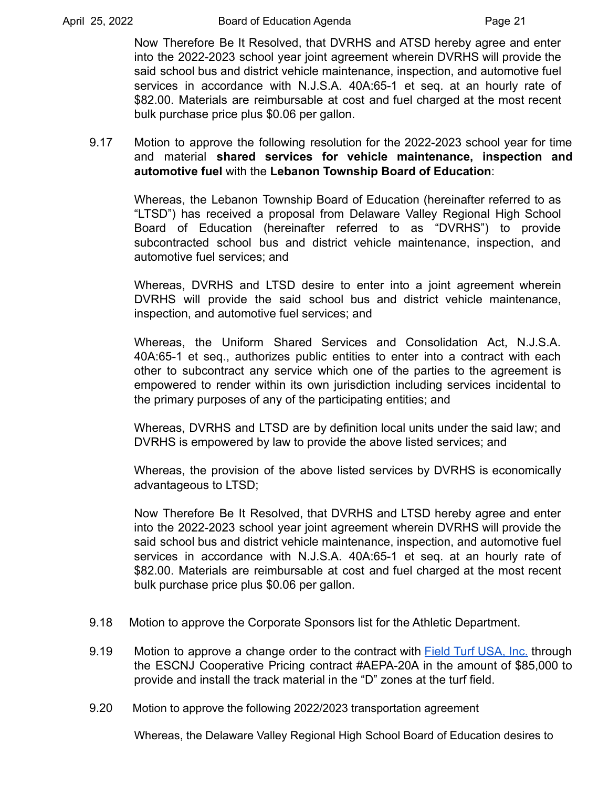Now Therefore Be It Resolved, that DVRHS and ATSD hereby agree and enter into the 2022-2023 school year joint agreement wherein DVRHS will provide the said school bus and district vehicle maintenance, inspection, and automotive fuel services in accordance with N.J.S.A. 40A:65-1 et seq. at an hourly rate of \$82.00. Materials are reimbursable at cost and fuel charged at the most recent bulk purchase price plus \$0.06 per gallon.

9.17 Motion to approve the following resolution for the 2022-2023 school year for time and material **shared services for vehicle maintenance, inspection and automotive fuel** with the **Lebanon Township Board of Education**:

Whereas, the Lebanon Township Board of Education (hereinafter referred to as "LTSD") has received a proposal from Delaware Valley Regional High School Board of Education (hereinafter referred to as "DVRHS") to provide subcontracted school bus and district vehicle maintenance, inspection, and automotive fuel services; and

Whereas, DVRHS and LTSD desire to enter into a joint agreement wherein DVRHS will provide the said school bus and district vehicle maintenance, inspection, and automotive fuel services; and

Whereas, the Uniform Shared Services and Consolidation Act, N.J.S.A. 40A:65-1 et seq., authorizes public entities to enter into a contract with each other to subcontract any service which one of the parties to the agreement is empowered to render within its own jurisdiction including services incidental to the primary purposes of any of the participating entities; and

Whereas, DVRHS and LTSD are by definition local units under the said law; and DVRHS is empowered by law to provide the above listed services; and

Whereas, the provision of the above listed services by DVRHS is economically advantageous to LTSD;

Now Therefore Be It Resolved, that DVRHS and LTSD hereby agree and enter into the 2022-2023 school year joint agreement wherein DVRHS will provide the said school bus and district vehicle maintenance, inspection, and automotive fuel services in accordance with N.J.S.A. 40A:65-1 et seq. at an hourly rate of \$82.00. Materials are reimbursable at cost and fuel charged at the most recent bulk purchase price plus \$0.06 per gallon.

- 9.18 Motion to approve the Corporate Sponsors list for the Athletic Department.
- 9.19 Motion to approve a change order to the contract with Field Turf [USA,](https://drive.google.com/file/d/1MAggt84vKpBgOodLDppfnF1WqoQl8EOR/view?usp=sharing) Inc. through the ESCNJ Cooperative Pricing contract #AEPA-20A in the amount of \$85,000 to provide and install the track material in the "D" zones at the turf field.
- 9.20 Motion to approve the following 2022/2023 transportation agreement

Whereas, the Delaware Valley Regional High School Board of Education desires to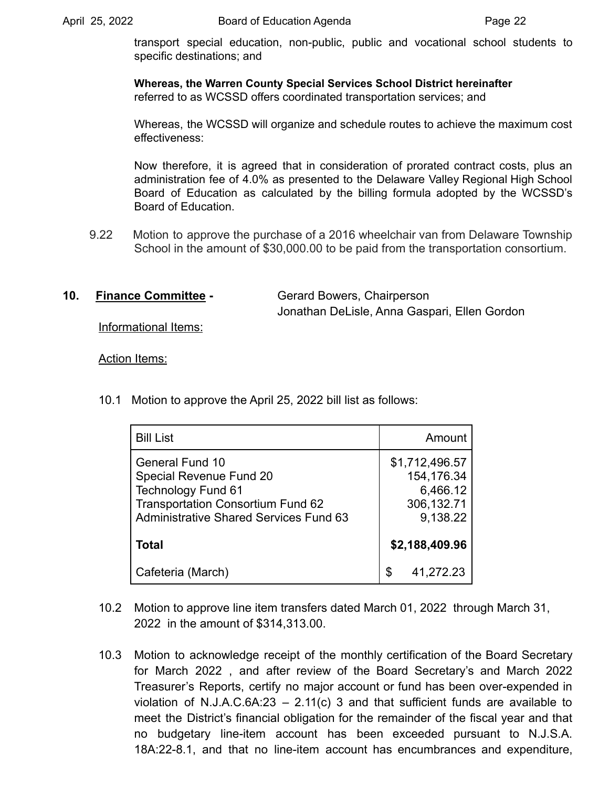transport special education, non-public, public and vocational school students to specific destinations; and

 **Whereas, the Warren County Special Services School District hereinafter** referred to as WCSSD offers coordinated transportation services; and

Whereas, the WCSSD will organize and schedule routes to achieve the maximum cost effectiveness:

 Board of Education. Now therefore, it is agreed that in consideration of prorated contract costs, plus an administration fee of 4.0% as presented to the Delaware Valley Regional High School Board of Education as calculated by the billing formula adopted by the WCSSD's

9.22 Motion to approve the purchase of a 2016 wheelchair van from Delaware Township School in the amount of \$[30,000.00](https://30,000.00) to be paid from the transportation consortium.

**10. Finance Committee -** Gerard Bowers, Chairperson

Jonathan DeLisle, Anna Gaspari, Ellen Gordon

Informational Items:

Action Items:

10.1 Motion to approve the April 25, 2022 bill list as follows:

| <b>Bill List</b>                                                                                                                                                            | Amount                                                              |
|-----------------------------------------------------------------------------------------------------------------------------------------------------------------------------|---------------------------------------------------------------------|
| <b>General Fund 10</b><br>Special Revenue Fund 20<br><b>Technology Fund 61</b><br><b>Transportation Consortium Fund 62</b><br><b>Administrative Shared Services Fund 63</b> | \$1,712,496.57<br>154,176.34<br>6,466.12<br>306, 132.71<br>9,138.22 |
| <b>Total</b>                                                                                                                                                                | \$2,188,409.96                                                      |
| Cafeteria (March)                                                                                                                                                           | \$<br>41,272.23                                                     |

- 10.2 Motion to approve line item transfers dated March 01, 2022 through March 31, 2022 in the amount of \$314,313.00.
- 10.3 Motion to acknowledge receipt of the monthly certification of the Board Secretary for March 2022 , and after review of the Board Secretary's and March 2022 Treasurer's Reports, certify no major account or fund has been over-expended in violation of N.J.A.C.6A:23  $-$  2.11(c) 3 and that sufficient funds are available to meet the District's financial obligation for the remainder of the fiscal year and that no budgetary line-item account has been exceeded pursuant to N.J.S.A. 18A:22-8.1, and that no line-item account has encumbrances and expenditure,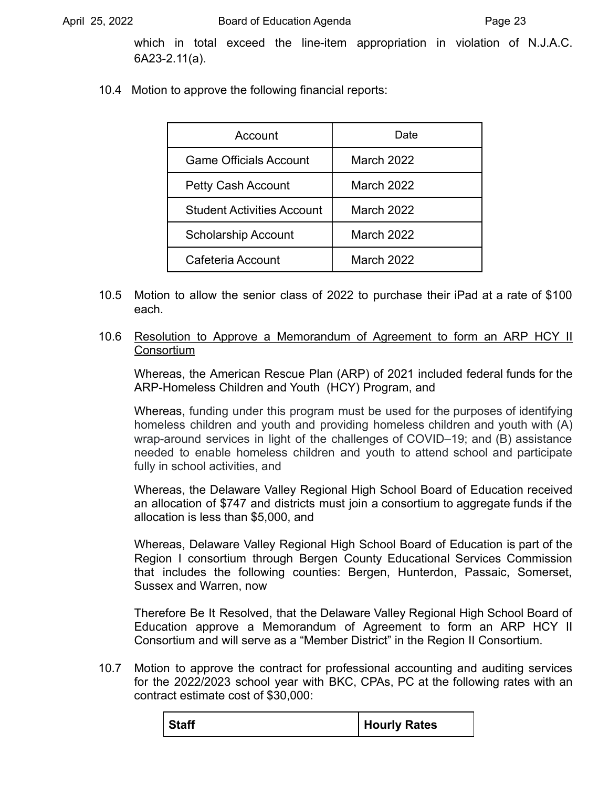which in total exceed the line-item appropriation in violation of N.J.A.C. 6A23-2.11(a).

10.4 Motion to approve the following financial reports:

| Account                           | Date       |
|-----------------------------------|------------|
| <b>Game Officials Account</b>     | March 2022 |
| <b>Petty Cash Account</b>         | March 2022 |
| <b>Student Activities Account</b> | March 2022 |
| <b>Scholarship Account</b>        | March 2022 |
| Cafeteria Account                 | March 2022 |

- 10.5 Motion to allow the senior class of 2022 to purchase their iPad at a rate of \$100 each.
- 10.6 Resolution to Approve a Memorandum of Agreement to form an ARP HCY II **Consortium**

Whereas, the American Rescue Plan (ARP) of 2021 included federal funds for the ARP-Homeless Children and Youth (HCY) Program, and

Whereas, funding under this program must be used for the purposes of identifying homeless children and youth and providing homeless children and youth with (A) wrap-around services in light of the challenges of COVID–19; and (B) assistance needed to enable homeless children and youth to attend school and participate fully in school activities, and

Whereas, the Delaware Valley Regional High School Board of Education received an allocation of \$747 and districts must join a consortium to aggregate funds if the allocation is less than \$5,000, and

Whereas, Delaware Valley Regional High School Board of Education is part of the Region I consortium through Bergen County Educational Services Commission that includes the following counties: Bergen, Hunterdon, Passaic, Somerset, Sussex and Warren, now

Therefore Be It Resolved, that the Delaware Valley Regional High School Board of Education approve a Memorandum of Agreement to form an ARP HCY II Consortium and will serve as a "Member District" in the Region II Consortium.

10.7 Motion to approve the contract for professional accounting and auditing services for the 2022/2023 school year with BKC, CPAs, PC at the following rates with an contract estimate cost of \$30,000:

|  | <b>Staff</b> | Hourly Rates |
|--|--------------|--------------|
|--|--------------|--------------|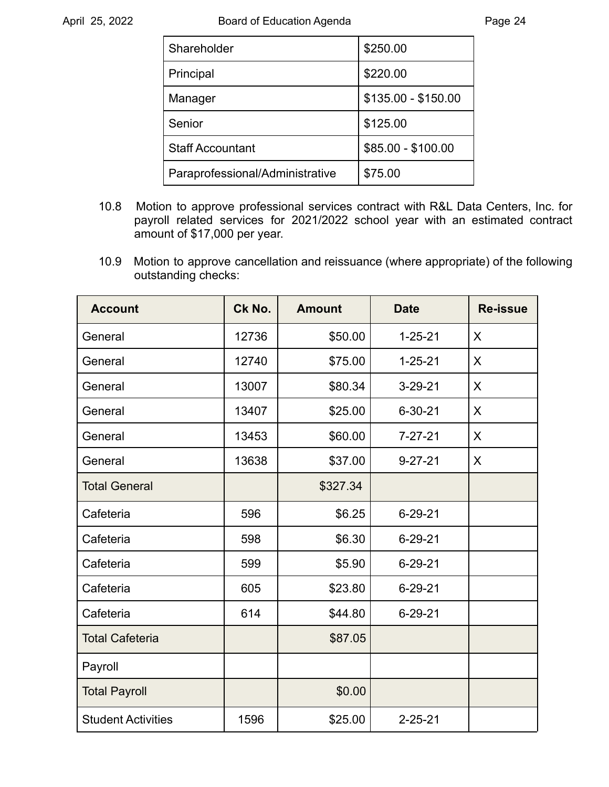| Shareholder                     | \$250.00            |
|---------------------------------|---------------------|
| Principal                       | \$220.00            |
| Manager                         | \$135.00 - \$150.00 |
| Senior                          | \$125.00            |
| <b>Staff Accountant</b>         | \$85.00 - \$100.00  |
| Paraprofessional/Administrative | \$75.00             |

- 10.8 Motion to approve professional services contract with R&L Data Centers, Inc. for payroll related services for 2021/2022 school year with an estimated contract amount of \$17,000 per year.
- 10.9 Motion to approve cancellation and reissuance (where appropriate) of the following outstanding checks:

| <b>Account</b>            | Ck No. | <b>Amount</b> | <b>Date</b>   | <b>Re-issue</b> |
|---------------------------|--------|---------------|---------------|-----------------|
| General                   | 12736  | \$50.00       | $1 - 25 - 21$ | $\sf X$         |
| General                   | 12740  | \$75.00       | $1 - 25 - 21$ | $\sf X$         |
| General                   | 13007  | \$80.34       | $3 - 29 - 21$ | X               |
| General                   | 13407  | \$25.00       | $6 - 30 - 21$ | X               |
| General                   | 13453  | \$60.00       | $7 - 27 - 21$ | X               |
| General                   | 13638  | \$37.00       | $9 - 27 - 21$ | $\sf X$         |
| <b>Total General</b>      |        | \$327.34      |               |                 |
| Cafeteria                 | 596    | \$6.25        | $6 - 29 - 21$ |                 |
| Cafeteria                 | 598    | \$6.30        | $6 - 29 - 21$ |                 |
| Cafeteria                 | 599    | \$5.90        | $6 - 29 - 21$ |                 |
| Cafeteria                 | 605    | \$23.80       | $6 - 29 - 21$ |                 |
| Cafeteria                 | 614    | \$44.80       | $6 - 29 - 21$ |                 |
| <b>Total Cafeteria</b>    |        | \$87.05       |               |                 |
| Payroll                   |        |               |               |                 |
| <b>Total Payroll</b>      |        | \$0.00        |               |                 |
| <b>Student Activities</b> | 1596   | \$25.00       | $2 - 25 - 21$ |                 |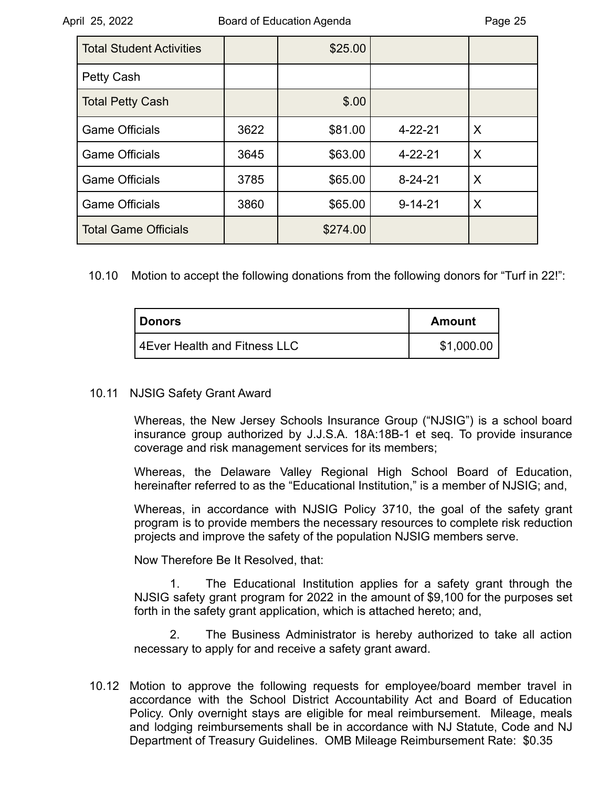| <b>Total Student Activities</b> |      | \$25.00  |               |   |
|---------------------------------|------|----------|---------------|---|
| Petty Cash                      |      |          |               |   |
| <b>Total Petty Cash</b>         |      | \$.00    |               |   |
| <b>Game Officials</b>           | 3622 | \$81.00  | $4 - 22 - 21$ | X |
| <b>Game Officials</b>           | 3645 | \$63.00  | $4 - 22 - 21$ | X |
| <b>Game Officials</b>           | 3785 | \$65.00  | $8 - 24 - 21$ | X |
| <b>Game Officials</b>           | 3860 | \$65.00  | $9 - 14 - 21$ | X |
| <b>Total Game Officials</b>     |      | \$274.00 |               |   |

10.10 Motion to accept the following donations from the following donors for "Turf in 22!":

| <b>I</b> Donors                | Amount     |
|--------------------------------|------------|
| l 4Ever Health and Fitness LLC | \$1,000.00 |

#### 10.11 NJSIG Safety Grant Award

Whereas, the New Jersey Schools Insurance Group ("NJSIG") is a school board insurance group authorized by J.J.S.A. 18A:18B-1 et seq. To provide insurance coverage and risk management services for its members;

Whereas, the Delaware Valley Regional High School Board of Education, hereinafter referred to as the "Educational Institution," is a member of NJSIG; and,

Whereas, in accordance with NJSIG Policy 3710, the goal of the safety grant program is to provide members the necessary resources to complete risk reduction projects and improve the safety of the population NJSIG members serve.

Now Therefore Be It Resolved, that:

1. The Educational Institution applies for a safety grant through the NJSIG safety grant program for 2022 in the amount of \$9,100 for the purposes set forth in the safety grant application, which is attached hereto; and,

2. The Business Administrator is hereby authorized to take all action necessary to apply for and receive a safety grant award.

10.12 Motion to approve the following requests for employee/board member travel in accordance with the School District Accountability Act and Board of Education Policy. Only overnight stays are eligible for meal reimbursement. Mileage, meals and lodging reimbursements shall be in accordance with NJ Statute, Code and NJ Department of Treasury Guidelines. OMB Mileage Reimbursement Rate: \$0.35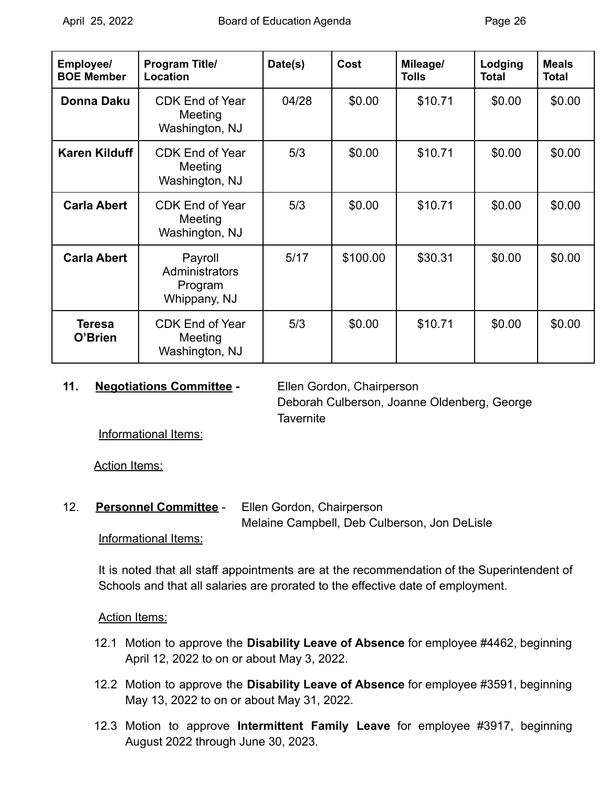| Employee/<br><b>BOE Member</b> | <b>Program Title/</b><br>Location                    | Date(s) | Cost     | Mileage/<br><b>Tolls</b> | Lodging<br><b>Total</b> | <b>Meals</b><br><b>Total</b> |
|--------------------------------|------------------------------------------------------|---------|----------|--------------------------|-------------------------|------------------------------|
| <b>Donna Daku</b>              | <b>CDK End of Year</b><br>Meeting<br>Washington, NJ  | 04/28   | \$0.00   | \$10.71                  | \$0.00                  | \$0.00                       |
| <b>Karen Kilduff</b>           | <b>CDK End of Year</b><br>Meeting<br>Washington, NJ  | 5/3     | \$0.00   | \$10.71                  | \$0.00                  | \$0.00                       |
| <b>Carla Abert</b>             | <b>CDK End of Year</b><br>Meeting<br>Washington, NJ  | 5/3     | \$0.00   | \$10.71                  | \$0.00                  | \$0.00                       |
| <b>Carla Abert</b>             | Payroll<br>Administrators<br>Program<br>Whippany, NJ | 5/17    | \$100.00 | \$30.31                  | \$0.00                  | \$0.00                       |
| <b>Teresa</b><br>O'Brien       | <b>CDK End of Year</b><br>Meeting<br>Washington, NJ  | 5/3     | \$0.00   | \$10.71                  | \$0.00                  | \$0.00                       |

#### **11. Negotiations Committee -** Ellen Gordon, Chairperson

Deborah Culberson, Joanne Oldenberg, George **Tavernite** 

Informational Items:

Action Items:

12. **Personnel Committee** - Ellen Gordon, Chairperson Melaine Campbell, Deb Culberson, Jon DeLisle

# Informational Items:

It is noted that all staff appointments are at the recommendation of the Superintendent of Schools and that all salaries are prorated to the effective date of employment.

# **Action Items:**

- 12.1 Motion to approve the **Disability Leave of Absence** for employee #4462, beginning April 12, 2022 to on or about May 3, 2022.
- 12.2 Motion to approve the **Disability Leave of Absence** for employee #3591, beginning May 13, 2022 to on or about May 31, 2022.
- 12.3 Motion to approve **Intermittent Family Leave** for employee #3917, beginning August 2022 through June 30, 2023.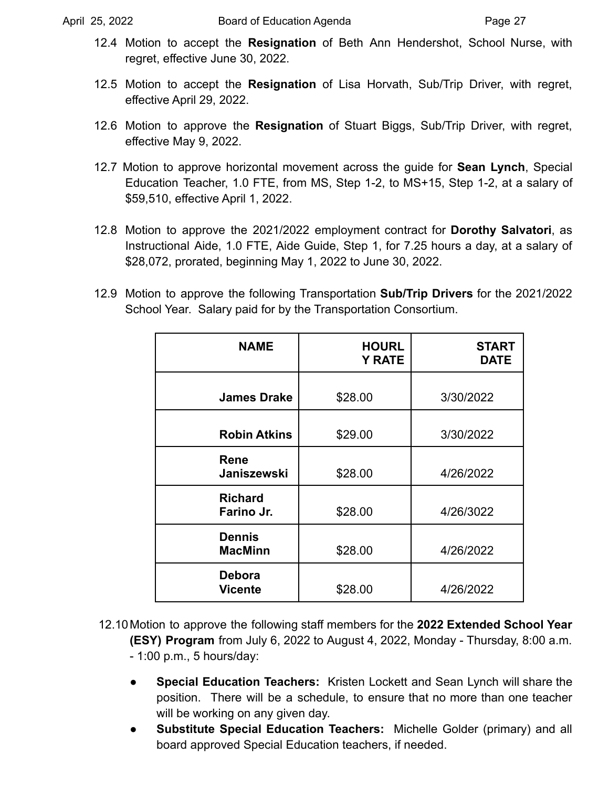- 12.4 Motion to accept the **Resignation** of Beth Ann Hendershot, School Nurse, with regret, effective June 30, 2022.
- 12.5 Motion to accept the **Resignation** of Lisa Horvath, Sub/Trip Driver, with regret, effective April 29, 2022.
- 12.6 Motion to approve the **Resignation** of Stuart Biggs, Sub/Trip Driver, with regret, effective May 9, 2022.
- 12.7 Motion to approve horizontal movement across the guide for **Sean Lynch**, Special Education Teacher, 1.0 FTE, from MS, Step 1-2, to MS+15, Step 1-2, at a salary of \$59,510, effective April 1, 2022.
- 12.8 Motion to approve the 2021/2022 employment contract for **Dorothy Salvatori**, as Instructional Aide, 1.0 FTE, Aide Guide, Step 1, for 7.25 hours a day, at a salary of \$28,072, prorated, beginning May 1, 2022 to June 30, 2022.
- 12.9 Motion to approve the following Transportation **Sub/Trip Drivers** for the 2021/2022 School Year. Salary paid for by the Transportation Consortium.

| <b>NAME</b>                     | <b>HOURL</b><br><b>Y RATE</b> | <b>START</b><br><b>DATE</b> |
|---------------------------------|-------------------------------|-----------------------------|
| <b>James Drake</b>              | \$28.00                       | 3/30/2022                   |
| <b>Robin Atkins</b>             | \$29.00                       | 3/30/2022                   |
| Rene<br>Janiszewski             | \$28.00                       | 4/26/2022                   |
| <b>Richard</b><br>Farino Jr.    | \$28.00                       | 4/26/3022                   |
| <b>Dennis</b><br><b>MacMinn</b> | \$28.00                       | 4/26/2022                   |
| Debora<br><b>Vicente</b>        | \$28.00                       | 4/26/2022                   |

- 12.10Motion to approve the following staff members for the **2022 Extended School Year (ESY) Program** from July 6, 2022 to August 4, 2022, Monday - Thursday, 8:00 a.m. - 1:00 p.m., 5 hours/day:
	- **Special Education Teachers:** Kristen Lockett and Sean Lynch will share the position. There will be a schedule, to ensure that no more than one teacher will be working on any given day.
	- **Substitute Special Education Teachers:** Michelle Golder (primary) and all board approved Special Education teachers, if needed.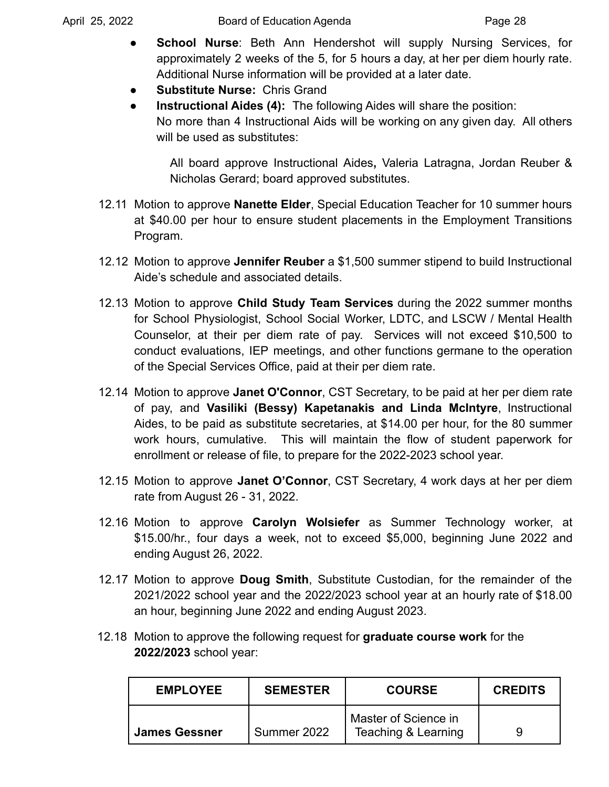- **School Nurse:** Beth Ann Hendershot will supply Nursing Services, for approximately 2 weeks of the 5, for 5 hours a day, at her per diem hourly rate. Additional Nurse information will be provided at a later date.
- **Substitute Nurse: Chris Grand**
- **Instructional Aides (4):** The following Aides will share the position: No more than 4 Instructional Aids will be working on any given day. All others will be used as substitutes:

All board approve Instructional Aides**,** Valeria Latragna, Jordan Reuber & Nicholas Gerard; board approved substitutes.

- 12.11 Motion to approve **Nanette Elder**, Special Education Teacher for 10 summer hours at \$40.00 per hour to ensure student placements in the Employment Transitions Program.
- 12.12 Motion to approve **Jennifer Reuber** a \$1,500 summer stipend to build Instructional Aide's schedule and associated details.
- 12.13 Motion to approve **Child Study Team Services** during the 2022 summer months for School Physiologist, School Social Worker, LDTC, and LSCW / Mental Health Counselor, at their per diem rate of pay. Services will not exceed \$10,500 to conduct evaluations, IEP meetings, and other functions germane to the operation of the Special Services Office, paid at their per diem rate.
- 12.14 Motion to approve **Janet O'Connor**, CST Secretary, to be paid at her per diem rate of pay, and **Vasiliki (Bessy) Kapetanakis and Linda McIntyre**, Instructional Aides, to be paid as substitute secretaries, at \$14.00 per hour, for the 80 summer work hours, cumulative. This will maintain the flow of student paperwork for enrollment or release of file, to prepare for the 2022-2023 school year.
- 12.15 Motion to approve **Janet O'Connor**, CST Secretary, 4 work days at her per diem rate from August 26 - 31, 2022.
- 12.16 Motion to approve **Carolyn Wolsiefer** as Summer Technology worker, at \$15.00/hr., four days a week, not to exceed \$5,000, beginning June 2022 and ending August 26, 2022.
- 12.17 Motion to approve **Doug Smith**, Substitute Custodian, for the remainder of the 2021/2022 school year and the 2022/2023 school year at an hourly rate of \$18.00 an hour, beginning June 2022 and ending August 2023.
- 12.18 Motion to approve the following request for **graduate course work** for the **2022/2023** school year:

| <b>EMPLOYEE</b>      | <b>SEMESTER</b> | <b>COURSE</b>                               | <b>CREDITS</b> |
|----------------------|-----------------|---------------------------------------------|----------------|
| <b>James Gessner</b> | Summer 2022     | Master of Science in<br>Teaching & Learning |                |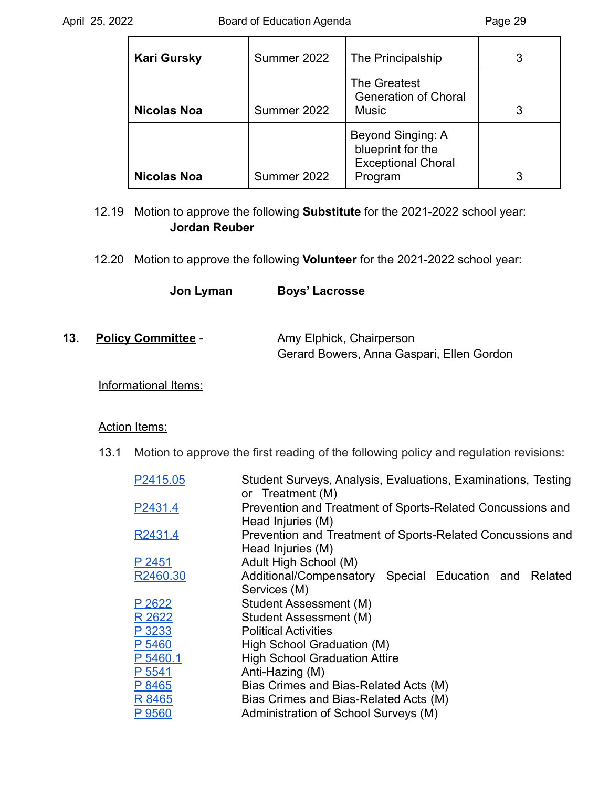| <b>Kari Gursky</b> | Summer 2022 | The Principalship                                                              | 3 |
|--------------------|-------------|--------------------------------------------------------------------------------|---|
| <b>Nicolas Noa</b> | Summer 2022 | The Greatest<br><b>Generation of Choral</b><br><b>Music</b>                    | 3 |
| <b>Nicolas Noa</b> | Summer 2022 | Beyond Singing: A<br>blueprint for the<br><b>Exceptional Choral</b><br>Program | 3 |

12.19 Motion to approve the following **Substitute** for the 2021-2022 school year: **Jordan Reuber**

- 12.20 Motion to approve the following **Volunteer** for the 2021-2022 school year:
	- **Jon Lyman Boys' Lacrosse**

| 13. | <b>Policy Committee -</b> | Amy Elphick, Chairperson                  |  |
|-----|---------------------------|-------------------------------------------|--|
|     |                           | Gerard Bowers, Anna Gaspari, Ellen Gordon |  |

# Informational Items:

#### Action Items:

13.1 Motion to approve the first reading of the following policy and regulation revisions:

| P2415.05 | Student Surveys, Analysis, Evaluations, Examinations, Testing<br>or Treatment (M) |
|----------|-----------------------------------------------------------------------------------|
| P2431.4  | Prevention and Treatment of Sports-Related Concussions and                        |
|          | Head Injuries (M)                                                                 |
| R2431.4  | Prevention and Treatment of Sports-Related Concussions and<br>Head Injuries (M)   |
| P 2451   | Adult High School (M)                                                             |
|          |                                                                                   |
| R2460.30 | Additional/Compensatory<br>Special Education and Related                          |
|          | Services (M)                                                                      |
| P 2622   | Student Assessment (M)                                                            |
| R 2622   | Student Assessment (M)                                                            |
| P 3233   | <b>Political Activities</b>                                                       |
| P 5460   | High School Graduation (M)                                                        |
| P 5460.1 | <b>High School Graduation Attire</b>                                              |
| P 5541   | Anti-Hazing (M)                                                                   |
| P 8465   | Bias Crimes and Bias-Related Acts (M)                                             |
| R 8465   | Bias Crimes and Bias-Related Acts (M)                                             |
| P 9560   | Administration of School Surveys (M)                                              |
|          |                                                                                   |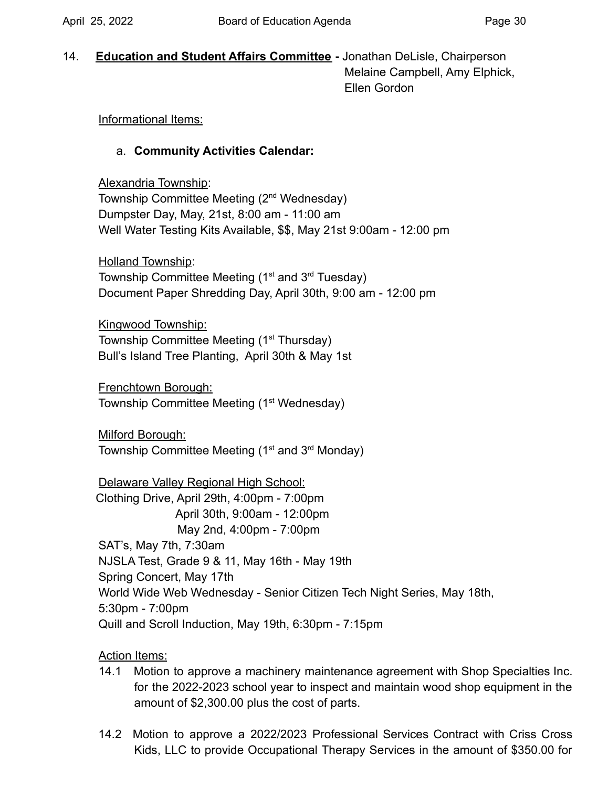14. **Education and Student Affairs Committee -** Jonathan DeLisle, Chairperson Melaine Campbell, Amy Elphick, Ellen Gordon

## Informational Items:

## a. **Community Activities Calendar:**

Alexandria Township: Township Committee Meeting (2<sup>nd</sup> Wednesday) Dumpster Day, May, 21st, 8:00 am - 11:00 am Well Water Testing Kits Available, \$\$, May 21st 9:00am - 12:00 pm

Holland Township: Township Committee Meeting ( $1<sup>st</sup>$  and  $3<sup>rd</sup>$  Tuesday) Document Paper Shredding Day, April 30th, 9:00 am - 12:00 pm

Kingwood Township: Township Committee Meeting (1<sup>st</sup> Thursday) Bull's Island Tree Planting, April 30th & May 1st

Frenchtown Borough: Township Committee Meeting (1<sup>st</sup> Wednesday)

Milford Borough: Township Committee Meeting (1<sup>st</sup> and 3<sup>rd</sup> Monday)

Delaware Valley Regional High School: Clothing Drive, April 29th, 4:00pm - 7:00pm April 30th, 9:00am - 12:00pm May 2nd, 4:00pm - 7:00pm SAT's, May 7th, 7:30am NJSLA Test, Grade 9 & 11, May 16th - May 19th Spring Concert, May 17th World Wide Web Wednesday - Senior Citizen Tech Night Series, May 18th, 5:30pm - 7:00pm Quill and Scroll Induction, May 19th, 6:30pm - 7:15pm

# Action Items:

- 14.1 Motion to approve a machinery maintenance agreement with Shop Specialties Inc. for the 2022-2023 school year to inspect and maintain wood shop equipment in the amount of [\\$2,300.00](https://2,300.00) plus the cost of parts.
- 14.2 Motion to approve a 2022/2023 Professional Services Contract with Criss Cross Kids, LLC to provide Occupational Therapy Services in the amount of \$350.00 for